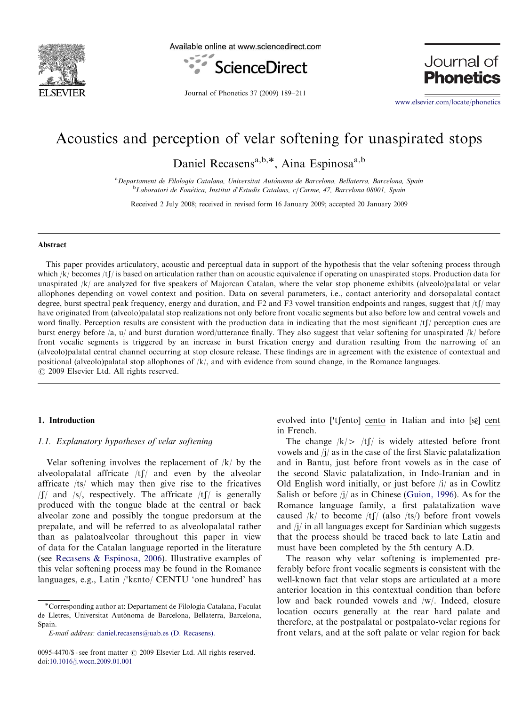

Available online at www.sciencedirect.com



Journal of **Phonetics** 

Journal of Phonetics 37 (2009) 189–211

<www.elsevier.com/locate/phonetics>

# Acoustics and perception of velar softening for unaspirated stops

Daniel Recasens<sup>a,b,\*</sup>, Aina Espinosa<sup>a,b</sup>

<sup>a</sup> Departament de Filologia Catalana, Universitat Autònoma de Barcelona, Bellaterra, Barcelona, Spain <sup>b</sup>Laboratori de Fonètica, Institut d'Estudis Catalans, c/Carme, 47, Barcelona 08001, Spain

Received 2 July 2008; received in revised form 16 January 2009; accepted 20 January 2009

# Abstract

This paper provides articulatory, acoustic and perceptual data in support of the hypothesis that the velar softening process through which  $|k|$  becomes  $|tf|$  is based on articulation rather than on acoustic equivalence if operating on unaspirated stops. Production data for unaspirated /k/ are analyzed for five speakers of Majorcan Catalan, where the velar stop phoneme exhibits (alveolo)palatal or velar allophones depending on vowel context and position. Data on several parameters, i.e., contact anteriority and dorsopalatal contact degree, burst spectral peak frequency, energy and duration, and F2 and F3 vowel transition endpoints and ranges, suggest that  $/t/f/may$ have originated from (alveolo)palatal stop realizations not only before front vocalic segments but also before low and central vowels and word finally. Perception results are consistent with the production data in indicating that the most significant  $/tf$  perception cues are burst energy before /a, u/ and burst duration word/utterance finally. They also suggest that velar softening for unaspirated /k/ before front vocalic segments is triggered by an increase in burst frication energy and duration resulting from the narrowing of an (alveolo)palatal central channel occurring at stop closure release. These findings are in agreement with the existence of contextual and positional (alveolo)palatal stop allophones of /k/, and with evidence from sound change, in the Romance languages.  $\circ$  2009 Elsevier Ltd. All rights reserved.

# 1. Introduction

# 1.1. Explanatory hypotheses of velar softening

Velar softening involves the replacement of  $/k/$  by the alveolopalatal affricate  $/tf$  and even by the alveolar affricate /ts/ which may then give rise to the fricatives  $\int \int \int$  and /s/, respectively. The affricate /t $\int \int$  is generally produced with the tongue blade at the central or back alveolar zone and possibly the tongue predorsum at the prepalate, and will be referred to as alveolopalatal rather than as palatoalveolar throughout this paper in view of data for the Catalan language reported in the literature (see [Recasens](#page-22-0) & [Espinosa, 2006\)](#page-22-0). Illustrative examples of this velar softening process may be found in the Romance this velar softening process may be found in the Romance<br>languages, e.g., Latin /'kento/ CENTU 'one hundred' has

evolved into ['tʃento] cento in Italian and into [sɛ̃] cent in French.

The change  $|k| > |t|/k$  is widely attested before front vowels and /j/ as in the case of the first Slavic palatalization and in Bantu, just before front vowels as in the case of the second Slavic palatalization, in Indo-Iranian and in Old English word initially, or just before /i/ as in Cowlitz Salish or before  $j/$  as in Chinese [\(Guion, 1996](#page-21-0)). As for the Romance language family, a first palatalization wave caused  $/k/$  to become  $/tf/$  (also  $/ts/$ ) before front vowels and /j/ in all languages except for Sardinian which suggests that the process should be traced back to late Latin and must have been completed by the 5th century A.D.

The reason why velar softening is implemented preferably before front vocalic segments is consistent with the well-known fact that velar stops are articulated at a more anterior location in this contextual condition than before low and back rounded vowels and /w/. Indeed, closure location occurs generally at the rear hard palate and therefore, at the postpalatal or postpalato-velar regions for front velars, and at the soft palate or velar region for back

<sup>-</sup>Corresponding author at: Departament de Filologia Catalana, Faculat de Lletres, Universitat Autònoma de Barcelona, Bellaterra, Barcelona, Spain.

E-mail address: [daniel.recasens@uab.es \(D. Recasens\).](mailto:daniel.recasens@uab.es)

<sup>0095-4470/\$ -</sup> see front matter © 2009 Elsevier Ltd. All rights reserved. doi:[10.1016/j.wocn.2009.01.001](dx.doi.org/10.1016/j.wocn.2009.01.001)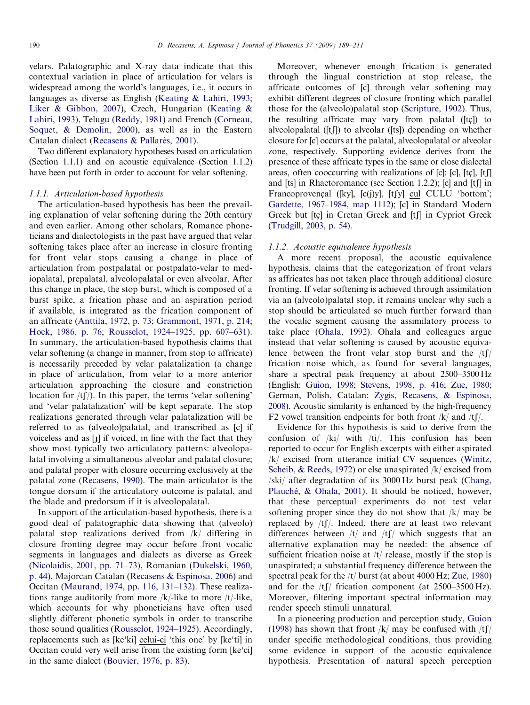velars. Palatographic and X-ray data indicate that this contextual variation in place of articulation for velars is widespread among the world's languages, i.e., it occurs in languages as diverse as English ([Keating](#page-21-0) & [Lahiri, 1993](#page-21-0); [Liker](#page-21-0) [& Gibbon, 2007\)](#page-21-0), Czech, Hungarian [\(Keating](#page-21-0) & [Lahiri, 1993\)](#page-21-0), Telugu [\(Reddy, 1981\)](#page-22-0) and French [\(Corneau,](#page-21-0) [Soquet,](#page-21-0) [& Demolin, 2000\)](#page-21-0), as well as in the Eastern Catalan dialect [\(Recasens &](#page-22-0) Pallarè[s, 2001](#page-22-0)).

Two different explanatory hypotheses based on articulation (Section 1.1.1) and on acoustic equivalence (Section 1.1.2) have been put forth in order to account for velar softening.

# 1.1.1. Articulation-based hypothesis

The articulation-based hypothesis has been the prevailing explanation of velar softening during the 20th century and even earlier. Among other scholars, Romance phoneticians and dialectologists in the past have argued that velar softening takes place after an increase in closure fronting for front velar stops causing a change in place of articulation from postpalatal or postpalato-velar to mediopalatal, prepalatal, alveolopalatal or even alveolar. After this change in place, the stop burst, which is composed of a burst spike, a frication phase and an aspiration period if available, is integrated as the frication component of an affricate ([Anttila, 1972, p. 73](#page-20-0); [Grammont, 1971, p. 214](#page-21-0); [Hock, 1986, p. 76](#page-21-0); [Rousselot, 1924–1925, pp. 607–631\)](#page-22-0). In summary, the articulation-based hypothesis claims that velar softening (a change in manner, from stop to affricate) is necessarily preceded by velar palatalization (a change in place of articulation, from velar to a more anterior articulation approaching the closure and constriction location for  $/tf$ ). In this paper, the terms 'velar softening' and 'velar palatalization' will be kept separate. The stop realizations generated through velar palatalization will be referred to as (alveolo)palatal, and transcribed as [c] if voiceless and as  $\left[\frac{1}{2}\right]$  if voiced, in line with the fact that they show most typically two articulatory patterns: alveolopalatal involving a simultaneous alveolar and palatal closure; and palatal proper with closure occurring exclusively at the palatal zone [\(Recasens, 1990](#page-22-0)). The main articulator is the tongue dorsum if the articulatory outcome is palatal, and the blade and predorsum if it is alveolopalatal.

In support of the articulation-based hypothesis, there is a good deal of palatographic data showing that (alveolo) palatal stop realizations derived from /k/ differing in closure fronting degree may occur before front vocalic segments in languages and dialects as diverse as Greek [\(Nicolaidis, 2001, pp. 71–73](#page-21-0)), Romanian [\(Dukelski, 1960,](#page-21-0) [p. 44\)](#page-21-0), Majorcan Catalan [\(Recasens & Espinosa, 2006\)](#page-22-0) and Occitan ([Maurand, 1974, pp. 116, 131–132\)](#page-21-0). These realizations range auditorily from more  $/k$ -like to more  $/t$ -like, which accounts for why phoneticians have often used slightly different phonetic symbols in order to transcribe those sound qualities ([Rousselot, 1924–1925](#page-22-0)). Accordingly, those sound quanties (Rousselot, 1924–1925). Accordingly,<br>replacements such as [ke'ki] <u>celui-ci</u> 'this one' by [ke'ti] in replacements such as [ke ki] **ceiui-ci** this one by [ke ti] in<br>Occitan could very well arise from the existing form [ke'ci] in the same dialect [\(Bouvier, 1976, p. 83](#page-20-0)).

Moreover, whenever enough frication is generated through the lingual constriction at stop release, the affricate outcomes of [c] through velar softening may exhibit different degrees of closure fronting which parallel those for the (alveolo)palatal stop [\(Scripture, 1902](#page-22-0)). Thus, the resulting affricate may vary from palatal ( $[tc]$ ) to alveolopalatal ( $[f]$ ) to alveolar ( $[fs]$ ) depending on whether closure for [c] occurs at the palatal, alveolopalatal or alveolar zone, respectively. Supporting evidence derives from the presence of these affricate types in the same or close dialectal areas, often cooccurring with realizations of  $[c]$ :  $[c]$ ,  $[t]$ and [ts] in Rhaetoromance (see Section 1.2.2); [c] and  $[t]$  in Francoprovençal ([ky],  $[c(j)y]$ ,  $[tfy]$  cul CULU 'bottom'; [Gardette, 1967–1984, map 1112\)](#page-21-0); [c] in Standard Modern Greek but [tç] in Cretan Greek and [tʃ] in Cypriot Greek [\(Trudgill, 2003, p. 54](#page-22-0)).

### 1.1.2. Acoustic equivalence hypothesis

A more recent proposal, the acoustic equivalence hypothesis, claims that the categorization of front velars as affricates has not taken place through additional closure fronting. If velar softening is achieved through assimilation via an (alveolo)palatal stop, it remains unclear why such a stop should be articulated so much further forward than the vocalic segment causing the assimilatory process to take place ([Ohala, 1992\)](#page-22-0). Ohala and colleagues argue instead that velar softening is caused by acoustic equivalence between the front velar stop burst and the  $/tf$ frication noise which, as found for several languages, share a spectral peak frequency at about 2500–3500 Hz (English: [Guion, 1998](#page-21-0); [Stevens, 1998, p. 416;](#page-22-0) [Zue, 1980](#page-22-0); German, Polish, Catalan: [Zygis, Recasens, & Espinosa,](#page-22-0) [2008](#page-22-0)). Acoustic similarity is enhanced by the high-frequency F2 vowel transition endpoints for both front  $/k/$  and  $/tf/$ .

Evidence for this hypothesis is said to derive from the confusion of /ki/ with /ti/. This confusion has been reported to occur for English excerpts with either aspirated /k/ excised from utterance initial CV sequences ([Winitz,](#page-22-0) [Scheib, & Reeds, 1972](#page-22-0)) or else unaspirated /k/ excised from /ski/ after degradation of its 3000 Hz burst peak ([Chang,](#page-21-0) [Plauch](#page-21-0)é, & [Ohala, 2001](#page-21-0)). It should be noticed, however, that these perceptual experiments do not test velar softening proper since they do not show that  $/k/m$ ay be replaced by  $/tf$ . Indeed, there are at least two relevant differences between  $/t/$  and  $/t/$  which suggests that an alternative explanation may be needed: the absence of sufficient frication noise at  $/t$  release, mostly if the stop is unaspirated; a substantial frequency difference between the spectral peak for the /t/ burst (at about 4000 Hz; [Zue, 1980](#page-22-0)) and for the  $/t$ [/ frication component (at 2500–3500 Hz). Moreover, filtering important spectral information may render speech stimuli unnatural.

In a pioneering production and perception study, [Guion](#page-21-0) [\(1998\)](#page-21-0) has shown that front  $/k/m$ ay be confused with  $/t \int$ under specific methodological conditions, thus providing some evidence in support of the acoustic equivalence hypothesis. Presentation of natural speech perception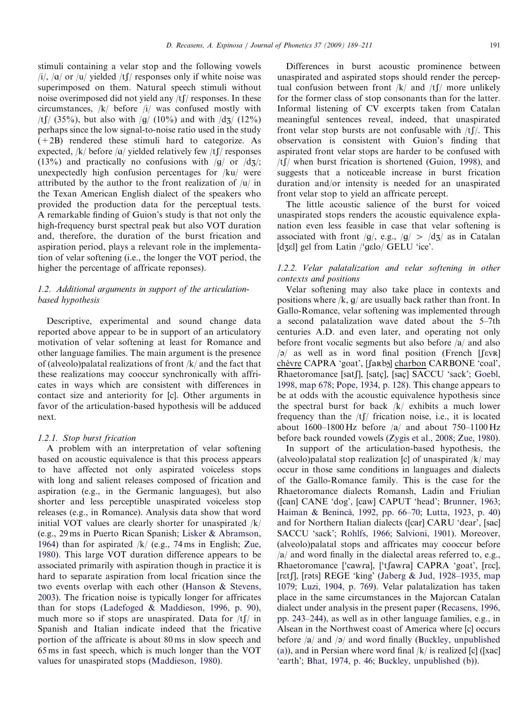stimuli containing a velar stop and the following vowels /i/, / $\alpha$ / or / $\mu$ / yielded /tf/ responses only if white noise was superimposed on them. Natural speech stimuli without noise overimposed did not yield any  $/t$  [ $/$  responses. In these circumstances, /k/ before /i/ was confused mostly with /tf/ (35%), but also with /g/ (10%) and with  $\frac{d}{3}$  (12%) perhaps since the low signal-to-noise ratio used in the study  $(+2B)$  rendered these stimuli hard to categorize. As expected,  $/k/$  before  $\alpha/$  yielded relatively few  $/t/$  responses  $(13\%)$  and practically no confusions with /q/ or /dz/; unexpectedly high confusion percentages for /ku/ were attributed by the author to the front realization of /u/ in the Texan American English dialect of the speakers who provided the production data for the perceptual tests. A remarkable finding of Guion's study is that not only the high-frequency burst spectral peak but also VOT duration and, therefore, the duration of the burst frication and aspiration period, plays a relevant role in the implementation of velar softening (i.e., the longer the VOT period, the higher the percentage of affricate reponses).

# 1.2. Additional arguments in support of the articulationbased hypothesis

Descriptive, experimental and sound change data reported above appear to be in support of an articulatory motivation of velar softening at least for Romance and other language families. The main argument is the presence of (alveolo)palatal realizations of front /k/ and the fact that these realizations may cooccur synchronically with affricates in ways which are consistent with differences in contact size and anteriority for [c]. Other arguments in favor of the articulation-based hypothesis will be adduced next.

### 1.2.1. Stop burst frication

A problem with an interpretation of velar softening based on acoustic equivalence is that this process appears to have affected not only aspirated voiceless stops with long and salient releases composed of frication and aspiration (e.g., in the Germanic languages), but also shorter and less perceptible unaspirated voiceless stop releases (e.g., in Romance). Analysis data show that word initial VOT values are clearly shorter for unaspirated /k/ (e.g., 29 ms in Puerto Rican Spanish; [Lisker & Abramson,](#page-21-0) [1964](#page-21-0)) than for aspirated  $/k/$  (e.g., 74 ms in English; [Zue,](#page-22-0) [1980](#page-22-0)). This large VOT duration difference appears to be associated primarily with aspiration though in practice it is hard to separate aspiration from local frication since the two events overlap with each other [\(Hanson & Stevens,](#page-21-0) [2003](#page-21-0)). The frication noise is typically longer for affricates than for stops [\(Ladefoged & Maddieson, 1996, p. 90\)](#page-21-0), much more so if stops are unaspirated. Data for  $/tf/m$ Spanish and Italian indicate indeed that the fricative portion of the affricate is about 80 ms in slow speech and 65 ms in fast speech, which is much longer than the VOT values for unaspirated stops [\(Maddieson, 1980](#page-21-0)).

Differences in burst acoustic prominence between unaspirated and aspirated stops should render the perceptual confusion between front  $/k/$  and  $/tf/$  more unlikely for the former class of stop consonants than for the latter. Informal listening of CV excerpts taken from Catalan meaningful sentences reveal, indeed, that unaspirated front velar stop bursts are not confusable with  $/tf$ . This observation is consistent with Guion's finding that aspirated front velar stops are harder to be confused with  $/t$  when burst frication is shortened [\(Guion, 1998\)](#page-21-0), and suggests that a noticeable increase in burst frication duration and/or intensity is needed for an unaspirated front velar stop to yield an affricate percept.

The little acoustic salience of the burst for voiced unaspirated stops renders the acoustic equivalence explanation even less feasible in case that velar softening is associated with front /q/, e.g., /q/ > /dʒ/ as in Catalan associated with front  $/g$ , e.g.,  $/g$  >  $/($ <br>[dʒɛl] gel from Latin  $/$ gɛlo/ GELU 'ice'.

# 1.2.2. Velar palatalization and velar softening in other contexts and positions

Velar softening may also take place in contexts and positions where  $/k$ ,  $g/$  are usually back rather than front. In Gallo-Romance, velar softening was implemented through a second palatalization wave dated about the 5–7th centuries A.D. and even later, and operating not only before front vocalic segments but also before  $|a|$  and also  $|a|$  as well as in word final position (French [Sevre] chèvre CAPRA 'goat', [[arb narbon CARBONE 'coal', Rhaetoromance [satʃ], [satç], [saç] SACCU 'sack'; [Goebl,](#page-21-0) [1998, map 678](#page-21-0); [Pope, 1934, p. 128\)](#page-22-0). This change appears to be at odds with the acoustic equivalence hypothesis since the spectral burst for back /k/ exhibits a much lower frequency than the  $/tf$  frication noise, i.e., it is located about 1600–1800 Hz before  $|a|$  and about 750–1100 Hz before back rounded vowels [\(Zygis et al., 2008](#page-22-0); [Zue, 1980\)](#page-22-0).

In support of the articulation-based hypothesis, the (alveolo)palatal stop realization [c] of unaspirated  $/k/may$ occur in those same conditions in languages and dialects of the Gallo-Romance family. This is the case for the Rhaetoromance dialects Romansh, Ladin and Friulian ([can] CANE 'dog', [caw] CAPUT 'head'; [Brunner, 1963;](#page-20-0) [Haiman](#page-21-0) & Benincà[, 1992, pp. 66–70](#page-21-0); [Lutta, 1923, p. 40](#page-21-0)) and for Northern Italian dialects ([car] CARU 'dear', [sac] SACCU 'sack'; [Rohlfs, 1966](#page-22-0); [Salvioni, 1901](#page-22-0)). Moreover, (alveolo)palatal stops and affricates may cooccur before  $\vert a \vert$  and word finally in the dialectal areas referred to, e.g., a and word imally in the dialectal areas referred to, e.g.,<br>Rhaetoromance ['cawra], ['tʃawra] CAPRA 'goat', [rɛc], [retf], [rəts] REGE 'king' [\(Jaberg & Jud, 1928–1935, map](#page-21-0) [1079](#page-21-0); [Luzi, 1904, p. 769\)](#page-21-0). Velar palatalization has taken place in the same circumstances in the Majorcan Catalan dialect under analysis in the present paper ([Recasens, 1996,](#page-22-0) [pp. 243–244](#page-22-0)), as well as in other language families, e.g., in Alsean in the Northwest coast of America where [c] occurs before  $|a|$  and  $|a|$  and word finally [\(Buckley, unpublished](#page-20-0) [\(a\)](#page-20-0)), and in Persian where word final  $/k/$  is realized [c] ([xac] 'earth'; [Bhat, 1974, p. 46](#page-20-0); Buckley, [unpublished \(b\)\)](#page-21-0).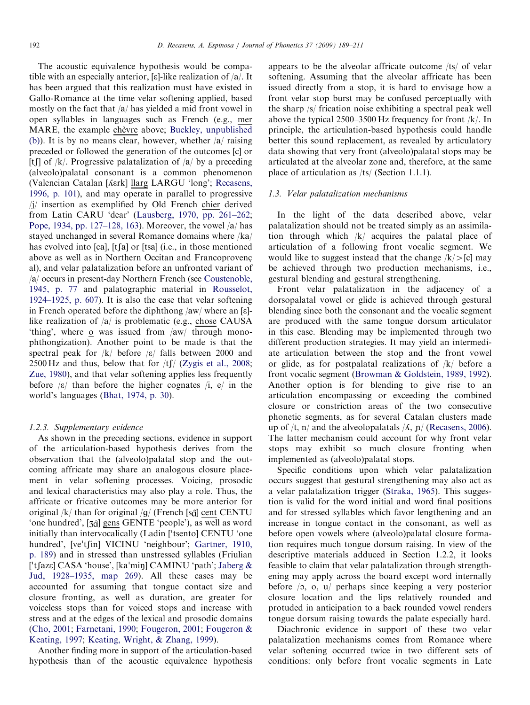The acoustic equivalence hypothesis would be compatible with an especially anterior, [ $\varepsilon$ ]-like realization of  $/a/$ . It has been argued that this realization must have existed in Gallo-Romance at the time velar softening applied, based mostly on the fact that  $|a|$  has yielded a mid front vowel in open syllables in languages such as French (e.g., mer MARE, the example chèvre above; [Buckley, unpublished](#page-21-0) [\(b\)\)](#page-21-0). It is by no means clear, however, whether  $|a|$  raising preceded or followed the generation of the outcomes [c] or [t] of  $/k$ . Progressive palatalization of  $\frac{a}{b}$  by a preceding (alveolo)palatal consonant is a common phenomenon (Valencian Catalan [herk] llarg LARGU 'long'; [Recasens,](#page-22-0) [1996, p. 101\)](#page-22-0), and may operate in parallel to progressive /j/ insertion as exemplified by Old French chier derived from Latin CARU 'dear' [\(Lausberg, 1970, pp. 261–262](#page-21-0); [Pope, 1934, pp. 127–128, 163](#page-22-0)). Moreover, the vowel  $\alpha$  has stayed unchanged in several Romance domains where  $/ka/$ has evolved into [ca], [tʃa] or [tsa] (i.e., in those mentioned above as well as in Northern Occitan and Francoprovencal), and velar palatalization before an unfronted variant of /a/ occurs in present-day Northern French (see [Coustenoble,](#page-21-0) [1945, p. 77](#page-21-0) and palatographic material in [Rousselot,](#page-22-0) [1924–1925, p. 607\)](#page-22-0). It is also the case that velar softening in French operated before the diphthong  $\langle$ aw $\rangle$  where an [ɛ]like realization of  $|a|$  is problematic (e.g., chose CAUSA) 'thing', where o was issued from  $|aw|$  through monophthongization). Another point to be made is that the spectral peak for  $|k|$  before  $|\varepsilon|$  falls between 2000 and 2500 Hz and thus, below that for  $\frac{f}{f}$  ([Zygis et al., 2008](#page-22-0); [Zue, 1980](#page-22-0)), and that velar softening applies less frequently before  $|\varepsilon|$  than before the higher cognates  $|i, e\rangle$  in the world's languages ([Bhat, 1974, p. 30\)](#page-20-0).

# 1.2.3. Supplementary evidence

As shown in the preceding sections, evidence in support of the articulation-based hypothesis derives from the observation that the (alveolo)palatal stop and the outcoming affricate may share an analogous closure placement in velar softening processes. Voicing, prosodic and lexical characteristics may also play a role. Thus, the affricate or fricative outcomes may be more anterior for original /k/ than for original /g/ (French [s $\tilde{q}$ ] cent CENTU 'one hundred', [3 $\tilde{q}$ ] gens GENTE 'people'), as well as word one nundred, [30] gens GENTE people *)*, as well as word<br>initially than intervocalically (Ladin ['tsento] CENTU 'one muany than intervocancany (Ladin [ tsento] CENTO one<br>hundred', [ve'tʃin] VICINU 'neighbour'; [Gartner, 1910,](#page-21-0) [p. 189\)](#page-21-0) and in stressed than unstressed syllables (Friulian ['tfaze] CASA 'house', [ka'miŋ] CAMINU 'path'; [Jaberg](#page-21-0) & [Jud, 1928–1935, map 269](#page-21-0)). All these cases may be accounted for assuming that tongue contact size and closure fronting, as well as duration, are greater for voiceless stops than for voiced stops and increase with stress and at the edges of the lexical and prosodic domains [\(Cho, 2001;](#page-21-0) [Farnetani, 1990;](#page-21-0) [Fougeron, 2001;](#page-21-0) [Fougeron](#page-21-0) & [Keating, 1997;](#page-21-0) [Keating, Wright,](#page-21-0) & [Zhang, 1999\)](#page-21-0).

Another finding more in support of the articulation-based hypothesis than of the acoustic equivalence hypothesis appears to be the alveolar affricate outcome /ts/ of velar softening. Assuming that the alveolar affricate has been issued directly from a stop, it is hard to envisage how a front velar stop burst may be confused perceptually with the sharp /s/ frication noise exhibiting a spectral peak well above the typical 2500–3500 Hz frequency for front /k/. In principle, the articulation-based hypothesis could handle better this sound replacement, as revealed by articulatory data showing that very front (alveolo)palatal stops may be articulated at the alveolar zone and, therefore, at the same place of articulation as /ts/ (Section 1.1.1).

# 1.3. Velar palatalization mechanisms

In the light of the data described above, velar palatalization should not be treated simply as an assimilation through which /k/ acquires the palatal place of articulation of a following front vocalic segment. We would like to suggest instead that the change  $(k/|c|)$  may be achieved through two production mechanisms, i.e., gestural blending and gestural strengthening.

Front velar palatalization in the adjacency of a dorsopalatal vowel or glide is achieved through gestural blending since both the consonant and the vocalic segment are produced with the same tongue dorsum articulator in this case. Blending may be implemented through two different production strategies. It may yield an intermediate articulation between the stop and the front vowel or glide, as for postpalatal realizations of /k/ before a front vocalic segment [\(Browman & Goldstein, 1989, 1992\)](#page-20-0). Another option is for blending to give rise to an articulation encompassing or exceeding the combined closure or constriction areas of the two consecutive phonetic segments, as for several Catalan clusters made up of  $/t$ , n/ and the alveolopalatals  $/A$ , n/ [\(Recasens, 2006\)](#page-22-0). The latter mechanism could account for why front velar stops may exhibit so much closure fronting when implemented as (alveolo)palatal stops.

Specific conditions upon which velar palatalization occurs suggest that gestural strengthening may also act as a velar palatalization trigger ([Straka, 1965\)](#page-22-0). This suggestion is valid for the word initial and word final positions and for stressed syllables which favor lengthening and an increase in tongue contact in the consonant, as well as before open vowels where (alveolo)palatal closure formation requires much tongue dorsum raising. In view of the descriptive materials adduced in Section 1.2.2, it looks feasible to claim that velar palatalization through strengthening may apply across the board except word internally before  $\langle 2, 0, 1 \rangle$  perhaps since keeping a very posterior closure location and the lips relatively rounded and protuded in anticipation to a back rounded vowel renders tongue dorsum raising towards the palate especially hard.

Diachronic evidence in support of these two velar palatalization mechanisms comes from Romance where velar softening occurred twice in two different sets of conditions: only before front vocalic segments in Late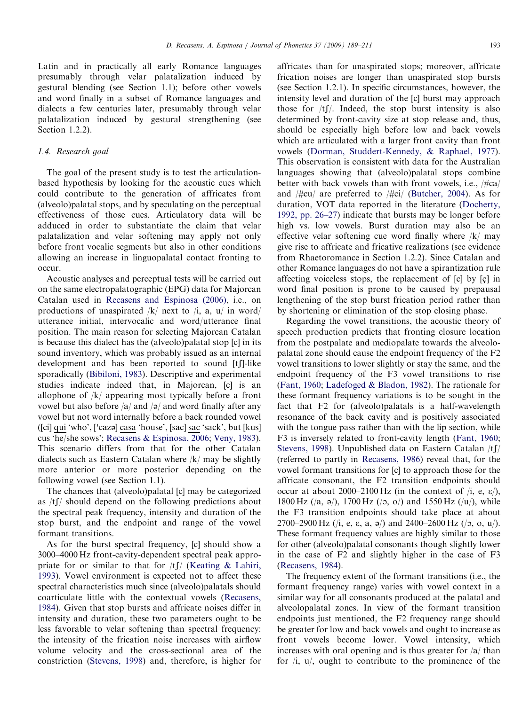Latin and in practically all early Romance languages presumably through velar palatalization induced by gestural blending (see Section 1.1); before other vowels and word finally in a subset of Romance languages and dialects a few centuries later, presumably through velar palatalization induced by gestural strengthening (see Section 1.2.2).

# 1.4. Research goal

The goal of the present study is to test the articulationbased hypothesis by looking for the acoustic cues which could contribute to the generation of affricates from (alveolo)palatal stops, and by speculating on the perceptual effectiveness of those cues. Articulatory data will be adduced in order to substantiate the claim that velar palatalization and velar softening may apply not only before front vocalic segments but also in other conditions allowing an increase in linguopalatal contact fronting to occur.

Acoustic analyses and perceptual tests will be carried out on the same electropalatographic (EPG) data for Majorcan Catalan used in [Recasens and Espinosa \(2006\)](#page-22-0), i.e., on productions of unaspirated  $/k/$  next to  $/i$ , a,  $u/$  in word/ utterance initial, intervocalic and word/utterance final position. The main reason for selecting Majorcan Catalan is because this dialect has the (alveolo)palatal stop [c] in its sound inventory, which was probably issued as an internal development and has been reported to sound [t]. like sporadically [\(Bibiloni, 1983\)](#page-20-0). Descriptive and experimental studies indicate indeed that, in Majorcan, [c] is an allophone of /k/ appearing most typically before a front vowel but also before  $|a|$  and  $|a|$  and word finally after any vowel but not word internally before a back rounded vowel vower but not word miernally before a back rounded vower<br>([ci] <u>qui</u> 'who', ['cazə] <u>casa</u> 'house', [sac] <u>sac</u> 'sack', but [kus] cus 'he/she sows'; [Recasens & Espinosa, 2006;](#page-22-0) [Veny, 1983\)](#page-22-0). This scenario differs from that for the other Catalan dialects such as Eastern Catalan where /k/ may be slightly more anterior or more posterior depending on the following vowel (see Section 1.1).

The chances that (alveolo)palatal [c] may be categorized as  $/t$ [/ should depend on the following predictions about the spectral peak frequency, intensity and duration of the stop burst, and the endpoint and range of the vowel formant transitions.

As for the burst spectral frequency, [c] should show a 3000–4000 Hz front-cavity-dependent spectral peak appropriate for or similar to that for  $/t$  [\(Keating](#page-21-0) & [Lahiri,](#page-21-0) [1993](#page-21-0)). Vowel environment is expected not to affect these spectral characteristics much since (alveolo)palatals should coarticulate little with the contextual vowels ([Recasens,](#page-22-0) [1984](#page-22-0)). Given that stop bursts and affricate noises differ in intensity and duration, these two parameters ought to be less favorable to velar softening than spectral frequency: the intensity of the frication noise increases with airflow volume velocity and the cross-sectional area of the constriction [\(Stevens, 1998](#page-22-0)) and, therefore, is higher for affricates than for unaspirated stops; moreover, affricate frication noises are longer than unaspirated stop bursts (see Section 1.2.1). In specific circumstances, however, the intensity level and duration of the [c] burst may approach those for  $/tf$ . Indeed, the stop burst intensity is also determined by front-cavity size at stop release and, thus, should be especially high before low and back vowels which are articulated with a larger front cavity than front vowels ([Dorman, Studdert-Kennedy, & Raphael, 1977\)](#page-21-0). This observation is consistent with data for the Australian languages showing that (alveolo)palatal stops combine better with back vowels than with front vowels, i.e.,  $/\frac{H}{c}$ and  $\#cu$  are preferred to  $\#ci$  ([Butcher, 2004\)](#page-21-0). As for duration, VOT data reported in the literature ([Docherty,](#page-21-0) [1992, pp. 26–27](#page-21-0)) indicate that bursts may be longer before high vs. low vowels. Burst duration may also be an effective velar softening cue word finally where /k/ may give rise to affricate and fricative realizations (see evidence from Rhaetoromance in Section 1.2.2). Since Catalan and other Romance languages do not have a spirantization rule affecting voiceless stops, the replacement of  $[c]$  by  $[c]$  in word final position is prone to be caused by prepausal lengthening of the stop burst frication period rather than by shortening or elimination of the stop closing phase.

Regarding the vowel transitions, the acoustic theory of speech production predicts that fronting closure location from the postpalate and mediopalate towards the alveolopalatal zone should cause the endpoint frequency of the F2 vowel transitions to lower slightly or stay the same, and the endpoint frequency of the F3 vowel transitions to rise ([Fant, 1960;](#page-21-0) [Ladefoged](#page-21-0) & [Bladon, 1982](#page-21-0)). The rationale for these formant frequency variations is to be sought in the fact that F2 for (alveolo)palatals is a half-wavelength resonance of the back cavity and is positively associated with the tongue pass rather than with the lip section, while F3 is inversely related to front-cavity length ([Fant, 1960;](#page-21-0) [Stevens, 1998\)](#page-22-0). Unpublished data on Eastern Catalan  $/t$ (referred to partly in [Recasens, 1986](#page-22-0)) reveal that, for the vowel formant transitions for [c] to approach those for the affricate consonant, the F2 transition endpoints should occur at about 2000–2100 Hz (in the context of  $(i, e, \varepsilon)$ ), 1800 Hz  $(2a, 9)$ , 1700 Hz  $(2b, 0)$  and 1550 Hz  $(2a)$ , while the F3 transition endpoints should take place at about 2700–2900 Hz (/i, e,  $\varepsilon$ , a,  $\frac{\partial}{\partial t}$ ) and 2400–2600 Hz (/ $\sigma$ , o,  $\frac{\partial u}{\partial t}$ ). These formant frequency values are highly similar to those for other (alveolo)palatal consonants though slightly lower in the case of F2 and slightly higher in the case of F3 ([Recasens, 1984\)](#page-22-0).

The frequency extent of the formant transitions (i.e., the formant frequency range) varies with vowel context in a similar way for all consonants produced at the palatal and alveolopalatal zones. In view of the formant transition endpoints just mentioned, the F2 frequency range should be greater for low and back vowels and ought to increase as front vowels become lower. Vowel intensity, which increases with oral opening and is thus greater for  $\frac{a}{\tan \theta}$  than for /i, u/, ought to contribute to the prominence of the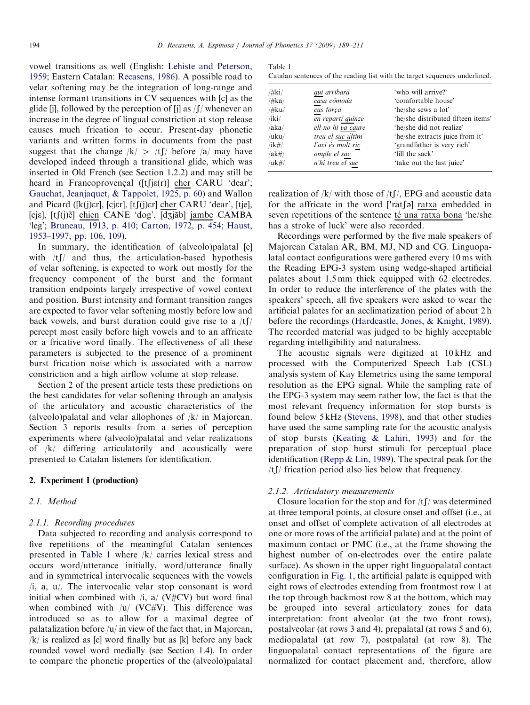vowel transitions as well (English: [Lehiste and Peterson,](#page-21-0) [1959;](#page-21-0) Eastern Catalan: [Recasens, 1986\)](#page-22-0). A possible road to velar softening may be the integration of long-range and intense formant transitions in CV sequences with [c] as the glide [j], followed by the perception of [j] as  $\int \int$ / whenever an increase in the degree of lingual constriction at stop release causes much frication to occur. Present-day phonetic variants and written forms in documents from the past suggest that the change  $|k| > |t|/$  before  $|a|$  may have developed indeed through a transitional glide, which was inserted in Old French (see Section 1.2.2) and may still be heard in Francoprovençal ( $[tfj\varepsilon(r)]$  cher CARU 'dear'; [Gauchat, Jeanjaquet,](#page-21-0) & [Tappolet, 1925, p. 60](#page-21-0)) and Wallon and Picard ([k(j)er], [cjer], [tʃ(j)er] cher CARU 'dear', [tje], [cjɛ], [tʃ(j)ẽ] chien CANE 'dog', [dʒjãb] jambe CAMBA 'leg'; [Bruneau, 1913, p. 410;](#page-20-0) [Carton, 1972, p. 454;](#page-21-0) [Haust,](#page-21-0) [1953–1997, pp. 106, 109\)](#page-21-0).

In summary, the identification of (alveolo)palatal [c] with  $/tf$  and thus, the articulation-based hypothesis of velar softening, is expected to work out mostly for the frequency component of the burst and the formant transition endpoints largely irrespective of vowel context and position. Burst intensity and formant transition ranges are expected to favor velar softening mostly before low and back vowels, and burst duration could give rise to a  $/t$ [/ percept most easily before high vowels and to an affricate or a fricative word finally. The effectiveness of all these parameters is subjected to the presence of a prominent burst frication noise which is associated with a narrow constriction and a high airflow volume at stop release.

Section 2 of the present article tests these predictions on the best candidates for velar softening through an analysis of the articulatory and acoustic characteristics of the (alveolo)palatal and velar allophones of /k/ in Majorcan. Section 3 reports results from a series of perception experiments where (alveolo)palatal and velar realizations of /k/ differing articulatorily and acoustically were presented to Catalan listeners for identification.

# 2. Experiment I (production)

# 2.1. Method

#### 2.1.1. Recording procedures

Data subjected to recording and analysis correspond to five repetitions of the meaningful Catalan sentences presented in Table 1 where /k/ carries lexical stress and occurs word/utterance initially, word/utterance finally and in symmetrical intervocalic sequences with the vowels  $\lambda$ i, a, u $\lambda$ . The intervocalic velar stop consonant is word initial when combined with  $\lambda$ ,  $\alpha$  (V#CV) but word final when combined with  $|u|$  (VC#V). This difference was introduced so as to allow for a maximal degree of palatalization before  $|u|$  in view of the fact that, in Majorcan,  $/k/$  is realized as [c] word finally but as [k] before any back rounded vowel word medially (see Section 1.4). In order to compare the phonetic properties of the (alveolo)palatal

| Table 1                                                                     |  |  |
|-----------------------------------------------------------------------------|--|--|
| Catalan sentences of the reading list with the target sequences underlined. |  |  |

| $/\#$ ki $/$ | qui arribarà       | 'who will arrive?'                 |
|--------------|--------------------|------------------------------------|
| /#ka/        | casa còmoda        | 'comfortable house'                |
| $/\#ku/$     | cus força          | 'he/she sews a lot'                |
| $/$ iki $/$  | en repartí quinze  | 'he/she distributed fifteen items' |
| /aka/        | ell no hi va caure | 'he/she did not realize'           |
| /uku/        | treu el suc últim  | 'he/she extracts juice from it'    |
| $/ik\#/$     | l'avi és molt ric  | 'grandfather is very rich'         |
| $/ak\#/$     | omple el sac       | 'fill the sack'                    |
| /uk#/        | n'hi treu el suc   | 'take out the last juice'          |

realization of  $/k/$  with those of  $/t/$ , EPG and acoustic data reanzation of  $|k|$  with those of  $|l|$ , EPG and acoustic data<br>for the affricate in the word ['ratfa) <u>ratxa</u> embedded in seven repetitions of the sentence té una ratxa bona 'he/she has a stroke of luck' were also recorded.

Recordings were performed by the five male speakers of Majorcan Catalan AR, BM, MJ, ND and CG. Linguopalatal contact configurations were gathered every 10 ms with the Reading EPG-3 system using wedge-shaped artificial palates about 1.5 mm thick equipped with 62 electrodes. In order to reduce the interference of the plates with the speakers' speech, all five speakers were asked to wear the artificial palates for an acclimatization period of about 2 h before the recordings ([Hardcastle, Jones,](#page-21-0) & [Knight, 1989\)](#page-21-0). The recorded material was judged to be highly acceptable regarding intelligibility and naturalness.

The acoustic signals were digitized at 10 kHz and processed with the Computerized Speech Lab (CSL) analysis system of Kay Elemetrics using the same temporal resolution as the EPG signal. While the sampling rate of the EPG-3 system may seem rather low, the fact is that the most relevant frequency information for stop bursts is found below 5 kHz ([Stevens, 1998](#page-22-0)), and that other studies have used the same sampling rate for the acoustic analysis of stop bursts ([Keating](#page-21-0) & [Lahiri, 1993\)](#page-21-0) and for the preparation of stop burst stimuli for perceptual place identification [\(Repp & Lin, 1989\)](#page-22-0). The spectral peak for the  $/t$  frication period also lies below that frequency.

#### 2.1.2. Articulatory measurements

Closure location for the stop and for  $/t \int$  was determined at three temporal points, at closure onset and offset (i.e., at onset and offset of complete activation of all electrodes at one or more rows of the artificial palate) and at the point of maximum contact or PMC (i.e., at the frame showing the highest number of on-electrodes over the entire palate surface). As shown in the upper right linguopalatal contact configuration in [Fig. 1,](#page-6-0) the artificial palate is equipped with eight rows of electrodes extending from frontmost row 1 at the top through backmost row 8 at the bottom, which may be grouped into several articulatory zones for data interpretation: front alveolar (at the two front rows), postalveolar (at rows 3 and 4), prepalatal (at rows 5 and 6), mediopalatal (at row 7), postpalatal (at row 8). The linguopalatal contact representations of the figure are normalized for contact placement and, therefore, allow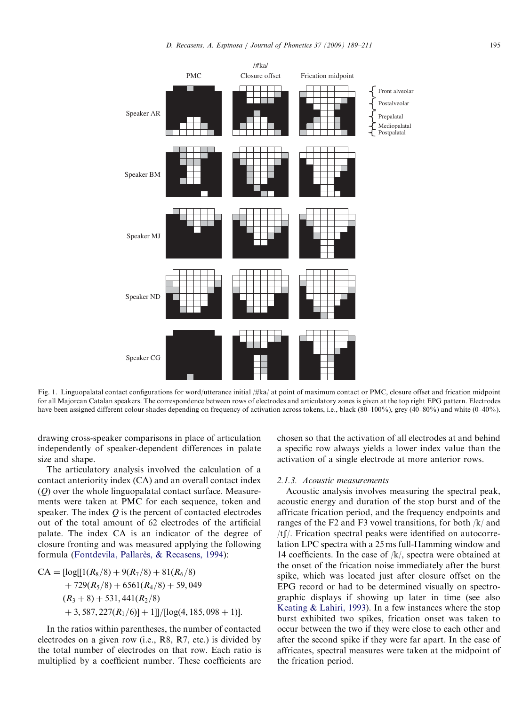<span id="page-6-0"></span>

Fig. 1. Linguopalatal contact configurations for word/utterance initial  $/\#$ ka/ at point of maximum contact or PMC, closure offset and frication midpoint for all Majorcan Catalan speakers. The correspondence between rows of electrodes and articulatory zones is given at the top right EPG pattern. Electrodes have been assigned different colour shades depending on frequency of activation across tokens, i.e., black (80–100%), grey (40–80%) and white (0–40%).

drawing cross-speaker comparisons in place of articulation independently of speaker-dependent differences in palate size and shape.

The articulatory analysis involved the calculation of a contact anteriority index (CA) and an overall contact index  $(0)$  over the whole linguopalatal contact surface. Measurements were taken at PMC for each sequence, token and speaker. The index Q is the percent of contacted electrodes out of the total amount of 62 electrodes of the artificial palate. The index CA is an indicator of the degree of closure fronting and was measured applying the following formula [\(Fontdevila, Pallar](#page-21-0)ès, & [Recasens, 1994](#page-21-0)):

$$
CA = [log[[1(R_8/8) + 9(R_7/8) + 81(R_6/8)+ 729(R_5/8) + 6561(R_4/8) + 59,049(R_3 + 8) + 531,441(R_2/8)+ 3,587,227(R_1/6)] + 1]]/[log(4,185,098 + 1)].
$$

In the ratios within parentheses, the number of contacted electrodes on a given row (i.e., R8, R7, etc.) is divided by the total number of electrodes on that row. Each ratio is multiplied by a coefficient number. These coefficients are chosen so that the activation of all electrodes at and behind a specific row always yields a lower index value than the activation of a single electrode at more anterior rows.

# 2.1.3. Acoustic measurements

Acoustic analysis involves measuring the spectral peak, acoustic energy and duration of the stop burst and of the affricate frication period, and the frequency endpoints and ranges of the F2 and F3 vowel transitions, for both /k/ and  $/t$  Frication spectral peaks were identified on autocorrelation LPC spectra with a 25 ms full-Hamming window and 14 coefficients. In the case of /k/, spectra were obtained at the onset of the frication noise immediately after the burst spike, which was located just after closure offset on the EPG record or had to be determined visually on spectrographic displays if showing up later in time (see also [Keating & Lahiri, 1993](#page-21-0)). In a few instances where the stop burst exhibited two spikes, frication onset was taken to occur between the two if they were close to each other and after the second spike if they were far apart. In the case of affricates, spectral measures were taken at the midpoint of the frication period.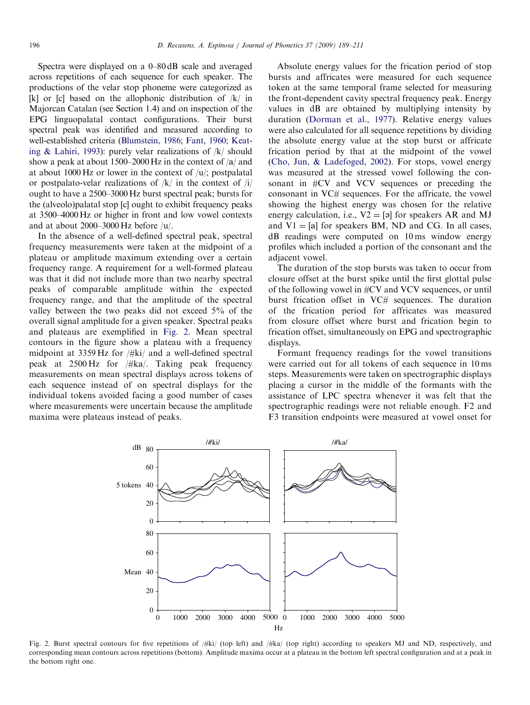Spectra were displayed on a 0–80 dB scale and averaged across repetitions of each sequence for each speaker. The productions of the velar stop phoneme were categorized as [k] or [c] based on the allophonic distribution of  $/k/$  in Majorcan Catalan (see Section 1.4) and on inspection of the EPG linguopalatal contact configurations. Their burst spectral peak was identified and measured according to well-established criteria [\(Blumstein, 1986](#page-20-0); [Fant, 1960](#page-21-0); [Keat](#page-21-0)[ing](#page-21-0) [& Lahiri, 1993\)](#page-21-0): purely velar realizations of /k/ should show a peak at about 1500–2000 Hz in the context of  $\alpha$  and at about 1000 Hz or lower in the context of  $/u$ ; postpalatal or postpalato-velar realizations of  $/k/$  in the context of  $/i/$ ought to have a 2500–3000 Hz burst spectral peak; bursts for the (alveolo)palatal stop [c] ought to exhibit frequency peaks at 3500–4000 Hz or higher in front and low vowel contexts and at about 2000–3000 Hz before /u/.

In the absence of a well-defined spectral peak, spectral frequency measurements were taken at the midpoint of a plateau or amplitude maximum extending over a certain frequency range. A requirement for a well-formed plateau was that it did not include more than two nearby spectral peaks of comparable amplitude within the expected frequency range, and that the amplitude of the spectral valley between the two peaks did not exceed 5% of the overall signal amplitude for a given speaker. Spectral peaks and plateaus are exemplified in Fig. 2. Mean spectral contours in the figure show a plateau with a frequency midpoint at 3359 Hz for /#ki/ and a well-defined spectral peak at  $2500 \text{ Hz}$  for  $/\#$ ka. Taking peak frequency measurements on mean spectral displays across tokens of each sequence instead of on spectral displays for the individual tokens avoided facing a good number of cases where measurements were uncertain because the amplitude maxima were plateaus instead of peaks.

Absolute energy values for the frication period of stop bursts and affricates were measured for each sequence token at the same temporal frame selected for measuring the front-dependent cavity spectral frequency peak. Energy values in dB are obtained by multiplying intensity by duration [\(Dorman et al., 1977\)](#page-21-0). Relative energy values were also calculated for all sequence repetitions by dividing the absolute energy value at the stop burst or affricate frication period by that at the midpoint of the vowel [\(Cho, Jun,](#page-21-0) [& Ladefoged, 2002](#page-21-0)). For stops, vowel energy was measured at the stressed vowel following the consonant in #CV and VCV sequences or preceding the consonant in VC# sequences. For the affricate, the vowel showing the highest energy was chosen for the relative energy calculation, i.e.,  $V2 = [9]$  for speakers AR and MJ and  $V1 = [a]$  for speakers BM, ND and CG. In all cases, dB readings were computed on 10 ms window energy profiles which included a portion of the consonant and the adjacent vowel.

The duration of the stop bursts was taken to occur from closure offset at the burst spike until the first glottal pulse of the following vowel in #CV and VCV sequences, or until burst frication offset in VC# sequences. The duration of the frication period for affricates was measured from closure offset where burst and frication begin to frication offset, simultaneously on EPG and spectrographic displays.

Formant frequency readings for the vowel transitions were carried out for all tokens of each sequence in 10 ms steps. Measurements were taken on spectrographic displays placing a cursor in the middle of the formants with the assistance of LPC spectra whenever it was felt that the spectrographic readings were not reliable enough. F2 and F3 transition endpoints were measured at vowel onset for



Fig. 2. Burst spectral contours for five repetitions of /#ki/ (top left) and /#ka/ (top right) according to speakers MJ and ND, respectively, and corresponding mean contours across repetitions (bottom). Amplitude maxima occur at a plateau in the bottom left spectral configuration and at a peak in the bottom right one.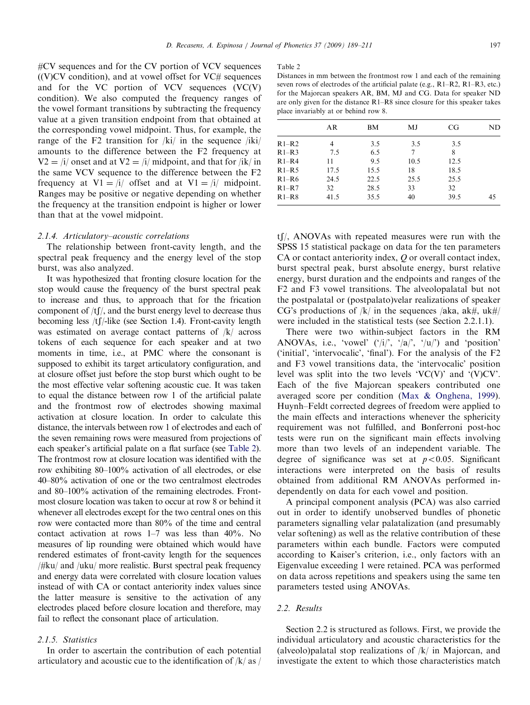<span id="page-8-0"></span>#CV sequences and for the CV portion of VCV sequences  $((V)CV condition)$ , and at vowel offset for  $VC\#$  sequences and for the VC portion of VCV sequences (VC(V) condition). We also computed the frequency ranges of the vowel formant transitions by subtracting the frequency value at a given transition endpoint from that obtained at the corresponding vowel midpoint. Thus, for example, the range of the F2 transition for  $/ki/$  in the sequence  $/iki/$ amounts to the difference between the F2 frequency at  $V2 = i/$  onset and at  $V2 = i/$  midpoint, and that for /ik/ in the same VCV sequence to the difference between the F2 frequency at  $VI = i/$  offset and at  $VI = i/$  midpoint. Ranges may be positive or negative depending on whether the frequency at the transition endpoint is higher or lower than that at the vowel midpoint.

# 2.1.4. Articulatory–acoustic correlations

The relationship between front-cavity length, and the spectral peak frequency and the energy level of the stop burst, was also analyzed.

It was hypothesized that fronting closure location for the stop would cause the frequency of the burst spectral peak to increase and thus, to approach that for the frication component of  $/tf/$ , and the burst energy level to decrease thus becoming less  $/t$  [ $/$ -like (see Section 1.4). Front-cavity length was estimated on average contact patterns of /k/ across tokens of each sequence for each speaker and at two moments in time, i.e., at PMC where the consonant is supposed to exhibit its target articulatory configuration, and at closure offset just before the stop burst which ought to be the most effective velar softening acoustic cue. It was taken to equal the distance between row 1 of the artificial palate and the frontmost row of electrodes showing maximal activation at closure location. In order to calculate this distance, the intervals between row 1 of electrodes and each of the seven remaining rows were measured from projections of each speaker's artificial palate on a flat surface (see Table 2). The frontmost row at closure location was identified with the row exhibiting 80–100% activation of all electrodes, or else 40–80% activation of one or the two centralmost electrodes and 80–100% activation of the remaining electrodes. Frontmost closure location was taken to occur at row 8 or behind it whenever all electrodes except for the two central ones on this row were contacted more than 80% of the time and central contact activation at rows 1–7 was less than 40%. No measures of lip rounding were obtained which would have rendered estimates of front-cavity length for the sequences /#ku/ and /uku/ more realistic. Burst spectral peak frequency and energy data were correlated with closure location values instead of with CA or contact anteriority index values since the latter measure is sensitive to the activation of any electrodes placed before closure location and therefore, may fail to reflect the consonant place of articulation.

# 2.1.5. Statistics

In order to ascertain the contribution of each potential articulatory and acoustic cue to the identification of  $/k/$  as  $/$ 

#### Table 2

| Distances in mm between the frontmost row 1 and each of the remaining              |
|------------------------------------------------------------------------------------|
| seven rows of electrodes of the artificial palate (e.g., $R1-R2$ , $R1-R3$ , etc.) |
| for the Majorcan speakers AR, BM, MJ and CG. Data for speaker ND                   |
| are only given for the distance R1–R8 since closure for this speaker takes         |
| place invariably at or behind row 8.                                               |

|           | AR             | BМ   | MJ   | CG   | ND |
|-----------|----------------|------|------|------|----|
| $R1-R2$   | $\overline{4}$ | 3.5  | 3.5  | 3.5  |    |
| $R1-R3$   | 7.5            | 6.5  | 7    | 8    |    |
| $R1 - R4$ | 11             | 9.5  | 10.5 | 12.5 |    |
| $R1-R5$   | 17.5           | 15.5 | 18   | 18.5 |    |
| $R1-R6$   | 24.5           | 22.5 | 25.5 | 25.5 |    |
| $R1-R7$   | 32             | 28.5 | 33   | 32   |    |
| $R1-R8$   | 41.5           | 35.5 | 40   | 39.5 | 45 |

 $t$ [/, ANOVAs with repeated measures were run with the SPSS 15 statistical package on data for the ten parameters CA or contact anteriority index, O or overall contact index, burst spectral peak, burst absolute energy, burst relative energy, burst duration and the endpoints and ranges of the F2 and F3 vowel transitions. The alveolopalatal but not the postpalatal or (postpalato)velar realizations of speaker CG's productions of  $|k|$  in the sequences  $|aka|$ ,  $ak\#$ ,  $uk\#$ were included in the statistical tests (see Section 2.2.1.1).

There were two within-subject factors in the RM ANOVAs, i.e., 'vowel'  $('/i)$ ', ' $|a|$ ', ' $|u|$ ') and 'position' ('initial', 'intervocalic', 'final'). For the analysis of the F2 and F3 vowel transitions data, the 'intervocalic' position level was split into the two levels 'VC(V)' and '(V)CV'. Each of the five Majorcan speakers contributed one averaged score per condition [\(Max & Onghena, 1999\)](#page-21-0). Huynh–Feldt corrected degrees of freedom were applied to the main effects and interactions whenever the sphericity requirement was not fulfilled, and Bonferroni post-hoc tests were run on the significant main effects involving more than two levels of an independent variable. The degree of significance was set at  $p < 0.05$ . Significant interactions were interpreted on the basis of results obtained from additional RM ANOVAs performed independently on data for each vowel and position.

A principal component analysis (PCA) was also carried out in order to identify unobserved bundles of phonetic parameters signalling velar palatalization (and presumably velar softening) as well as the relative contribution of these parameters within each bundle. Factors were computed according to Kaiser's criterion, i.e., only factors with an Eigenvalue exceeding 1 were retained. PCA was performed on data across repetitions and speakers using the same ten parameters tested using ANOVAs.

# 2.2. Results

Section 2.2 is structured as follows. First, we provide the individual articulatory and acoustic characteristics for the (alveolo)palatal stop realizations of  $/k/$  in Majorcan, and investigate the extent to which those characteristics match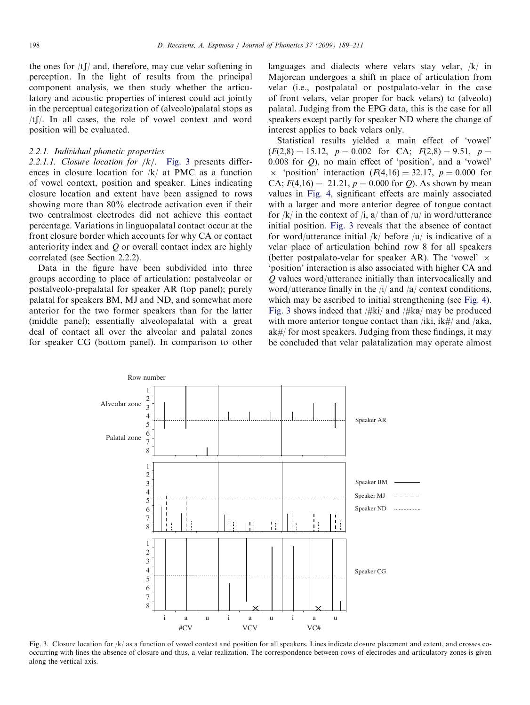<span id="page-9-0"></span>the ones for  $/tf/$  and, therefore, may cue velar softening in perception. In the light of results from the principal component analysis, we then study whether the articulatory and acoustic properties of interest could act jointly in the perceptual categorization of (alveolo)palatal stops as  $/t$ [ $\ell$ ]. In all cases, the role of vowel context and word position will be evaluated.

### 2.2.1. Individual phonetic properties

2.2.1.1. Closure location for  $/k$ . Fig. 3 presents differences in closure location for /k/ at PMC as a function of vowel context, position and speaker. Lines indicating closure location and extent have been assigned to rows showing more than 80% electrode activation even if their two centralmost electrodes did not achieve this contact percentage. Variations in linguopalatal contact occur at the front closure border which accounts for why CA or contact anteriority index and  $O$  or overall contact index are highly correlated (see Section 2.2.2).

Data in the figure have been subdivided into three groups according to place of articulation: postalveolar or postalveolo-prepalatal for speaker AR (top panel); purely palatal for speakers BM, MJ and ND, and somewhat more anterior for the two former speakers than for the latter (middle panel); essentially alveolopalatal with a great deal of contact all over the alveolar and palatal zones for speaker CG (bottom panel). In comparison to other languages and dialects where velars stay velar, /k/ in Majorcan undergoes a shift in place of articulation from velar (i.e., postpalatal or postpalato-velar in the case of front velars, velar proper for back velars) to (alveolo) palatal. Judging from the EPG data, this is the case for all speakers except partly for speaker ND where the change of interest applies to back velars only.

Statistical results yielded a main effect of 'vowel'  $(F(2,8) = 15.12, p = 0.002$  for CA;  $F(2,8) = 9.51, p =$ 0.008 for Q), no main effect of 'position', and a 'vowel'  $\times$  'position' interaction ( $F(4,16) = 32.17$ ,  $p = 0.000$  for CA;  $F(4,16) = 21.21$ ,  $p = 0.000$  for Q. As shown by mean values in [Fig. 4,](#page-10-0) significant effects are mainly associated with a larger and more anterior degree of tongue contact for  $/k/$  in the context of  $/i$ ,  $a/$  than of  $/u/$  in word/utterance initial position. Fig. 3 reveals that the absence of contact for word/utterance initial  $|k|$  before  $|u|$  is indicative of a velar place of articulation behind row 8 for all speakers (better postpalato-velar for speaker AR). The 'vowel'  $\times$ 'position' interaction is also associated with higher CA and Q values word/utterance initially than intervocalically and word/utterance finally in the  $\frac{1}{4}$  and  $\frac{1}{2}$  context conditions, which may be ascribed to initial strengthening (see [Fig. 4\)](#page-10-0). Fig. 3 shows indeed that  $/\#$ ki $/$  and  $/\#$ ka $/$  may be produced with more anterior tongue contact than /iki,  $ik\#/$  and /aka,  $ak\#$  for most speakers. Judging from these findings, it may be concluded that velar palatalization may operate almost



Fig. 3. Closure location for /k/ as a function of vowel context and position for all speakers. Lines indicate closure placement and extent, and crosses cooccurring with lines the absence of closure and thus, a velar realization. The correspondence between rows of electrodes and articulatory zones is given along the vertical axis.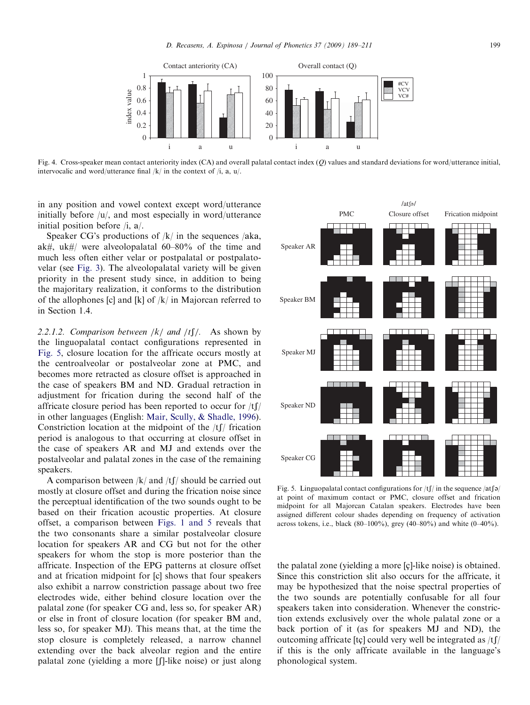<span id="page-10-0"></span>

Fig. 4. Cross-speaker mean contact anteriority index  $(CA)$  and overall palatal contact index  $(Q)$  values and standard deviations for word/utterance initial, intervocalic and word/utterance final  $/k/$  in the context of  $/i$ , a,  $u/$ .

in any position and vowel context except word/utterance initially before /u/, and most especially in word/utterance initial position before  $/i$ ,  $a/$ .

Speaker CG's productions of  $/k/$  in the sequences /aka, ak#, uk#/ were alveolopalatal  $60-80\%$  of the time and much less often either velar or postpalatal or postpalatovelar (see [Fig. 3](#page-9-0)). The alveolopalatal variety will be given priority in the present study since, in addition to being the majoritary realization, it conforms to the distribution of the allophones [c] and [k] of  $/k/$  in Majorcan referred to in Section 1.4.

2.2.1.2. Comparison between  $/k/$  and  $/tf/$ . As shown by the linguopalatal contact configurations represented in Fig. 5, closure location for the affricate occurs mostly at the centroalveolar or postalveolar zone at PMC, and becomes more retracted as closure offset is approached in the case of speakers BM and ND. Gradual retraction in adjustment for frication during the second half of the affricate closure period has been reported to occur for  $/t$ [/ in other languages (English: [Mair, Scully, & Shadle, 1996\)](#page-21-0). Constriction location at the midpoint of the  $/t$  frication period is analogous to that occurring at closure offset in the case of speakers AR and MJ and extends over the postalveolar and palatal zones in the case of the remaining speakers.

A comparison between  $/k$  and  $/t$  should be carried out mostly at closure offset and during the frication noise since the perceptual identification of the two sounds ought to be based on their frication acoustic properties. At closure offset, a comparison between [Figs. 1 and 5](#page-6-0) reveals that the two consonants share a similar postalveolar closure location for speakers AR and CG but not for the other speakers for whom the stop is more posterior than the affricate. Inspection of the EPG patterns at closure offset and at frication midpoint for [c] shows that four speakers also exhibit a narrow constriction passage about two free electrodes wide, either behind closure location over the palatal zone (for speaker CG and, less so, for speaker AR) or else in front of closure location (for speaker BM and, less so, for speaker MJ). This means that, at the time the stop closure is completely released, a narrow channel extending over the back alveolar region and the entire palatal zone (yielding a more [f]-like noise) or just along



Fig. 5. Linguopalatal contact configurations for  $/t \int$  in the sequence  $/\text{at}\mathfrak{g}$ at point of maximum contact or PMC, closure offset and frication midpoint for all Majorcan Catalan speakers. Electrodes have been assigned different colour shades depending on frequency of activation across tokens, i.e., black (80–100%), grey (40–80%) and white (0–40%).

the palatal zone (yielding a more [ç]-like noise) is obtained. Since this constriction slit also occurs for the affricate, it may be hypothesized that the noise spectral properties of the two sounds are potentially confusable for all four speakers taken into consideration. Whenever the constriction extends exclusively over the whole palatal zone or a back portion of it (as for speakers MJ and ND), the outcoming affricate [tç] could very well be integrated as  $/tf/$ if this is the only affricate available in the language's phonological system.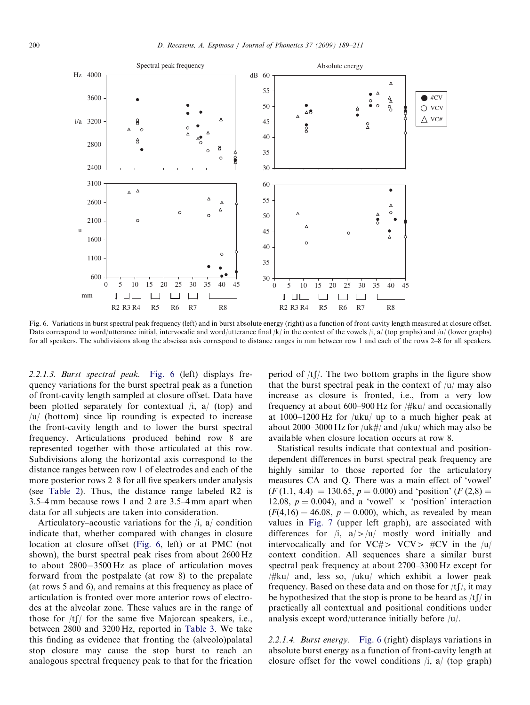<span id="page-11-0"></span>

Fig. 6. Variations in burst spectral peak frequency (left) and in burst absolute energy (right) as a function of front-cavity length measured at closure offset. Data correspond to word/utterance initial, intervocalic and word/utterance final  $|k|$  in the context of the vowels  $|i, a|$  (top graphs) and  $|u|$  (lower graphs) for all speakers. The subdivisions along the abscissa axis correspond to distance ranges in mm between row 1 and each of the rows 2–8 for all speakers.

2.2.1.3. Burst spectral peak. Fig. 6 (left) displays frequency variations for the burst spectral peak as a function of front-cavity length sampled at closure offset. Data have been plotted separately for contextual  $\lambda$  (top) and /u/ (bottom) since lip rounding is expected to increase the front-cavity length and to lower the burst spectral frequency. Articulations produced behind row 8 are represented together with those articulated at this row. Subdivisions along the horizontal axis correspond to the distance ranges between row 1 of electrodes and each of the more posterior rows 2–8 for all five speakers under analysis (see [Table 2\)](#page-8-0). Thus, the distance range labeled R2 is 3.5–4 mm because rows 1 and 2 are 3.5–4 mm apart when data for all subjects are taken into consideration.

Articulatory–acoustic variations for the  $/i$ , a/ condition indicate that, whether compared with changes in closure location at closure offset (Fig. 6, left) or at PMC (not shown), the burst spectral peak rises from about 2600 Hz to about  $2800-3500$  Hz as place of articulation moves forward from the postpalate (at row 8) to the prepalate (at rows 5 and 6), and remains at this frequency as place of articulation is fronted over more anterior rows of electrodes at the alveolar zone. These values are in the range of those for  $/tf/$  for the same five Majorcan speakers, i.e., between 2800 and 3200 Hz, reported in [Table 3.](#page-12-0) We take this finding as evidence that fronting the (alveolo)palatal stop closure may cause the stop burst to reach an analogous spectral frequency peak to that for the frication period of  $/tf$ . The two bottom graphs in the figure show that the burst spectral peak in the context of  $|u|$  may also increase as closure is fronted, i.e., from a very low frequency at about 600–900 Hz for /#ku/ and occasionally at 1000–1200 Hz for /uku/ up to a much higher peak at about 2000–3000 Hz for /uk#/ and /uku/ which may also be available when closure location occurs at row 8.

Statistical results indicate that contextual and positiondependent differences in burst spectral peak frequency are highly similar to those reported for the articulatory measures CA and Q. There was a main effect of 'vowel'  $(F (1.1, 4.4) = 130.65, p = 0.000)$  and 'position'  $(F (2.8) =$ 12.08,  $p = 0.004$ ), and a 'vowel'  $\times$  'position' interaction  $(F(4,16) = 46.08, p = 0.000)$ , which, as revealed by mean values in [Fig. 7](#page-12-0) (upper left graph), are associated with differences for  $\lambda$ ,  $a$ / $>$ / $\mu$  mostly word initially and intervocalically and for VC# $>$  VCV $>$  #CV in the /u/ context condition. All sequences share a similar burst spectral peak frequency at about 2700–3300 Hz except for /#ku/ and, less so, /uku/ which exhibit a lower peak frequency. Based on these data and on those for  $/tf/$ , it may be hypothesized that the stop is prone to be heard as  $/tf/m$ practically all contextual and positional conditions under analysis except word/utterance initially before /u/.

2.2.1.4. Burst energy. Fig. 6 (right) displays variations in absolute burst energy as a function of front-cavity length at closure offset for the vowel conditions  $\lambda$  (top graph)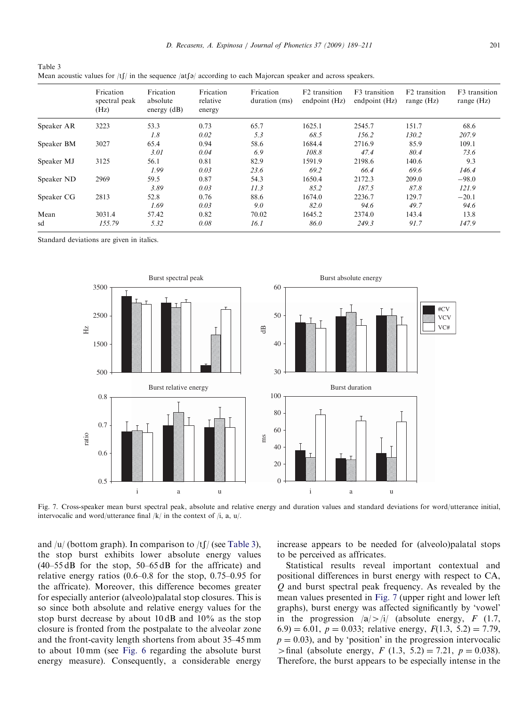<span id="page-12-0"></span>

| Table 3                                                                                                       |
|---------------------------------------------------------------------------------------------------------------|
| Mean acoustic values for $ t /$ in the sequence $ a $ according to each Majorcan speaker and across speakers. |

|            | Frication<br>spectral peak<br>(Hz) | Frication<br>absolute<br>energy $(dB)$ | Frication<br>relative<br>energy | Frication<br>duration (ms) | F <sub>2</sub> transition<br>endpoint (Hz) | F <sub>3</sub> transition<br>endpoint (Hz) | F <sub>2</sub> transition<br>range $(Hz)$ | F <sub>3</sub> transition<br>range $(Hz)$ |
|------------|------------------------------------|----------------------------------------|---------------------------------|----------------------------|--------------------------------------------|--------------------------------------------|-------------------------------------------|-------------------------------------------|
| Speaker AR | 3223                               | 53.3                                   | 0.73                            | 65.7                       | 1625.1                                     | 2545.7                                     | 151.7                                     | 68.6                                      |
|            |                                    | 1.8                                    | 0.02                            | 5.3                        | 68.5                                       | 156.2                                      | 130.2                                     | 207.9                                     |
| Speaker BM | 3027                               | 65.4                                   | 0.94                            | 58.6                       | 1684.4                                     | 2716.9                                     | 85.9                                      | 109.1                                     |
|            |                                    | 3.01                                   | 0.04                            | 6.9                        | 108.8                                      | 47.4                                       | 80.4                                      | 73.6                                      |
| Speaker MJ | 3125                               | 56.1                                   | 0.81                            | 82.9                       | 1591.9                                     | 2198.6                                     | 140.6                                     | 9.3                                       |
|            |                                    | 1.99                                   | 0.03                            | 23.6                       | 69.2                                       | 66.4                                       | 69.6                                      | 146.4                                     |
| Speaker ND | 2969                               | 59.5                                   | 0.87                            | 54.3                       | 1650.4                                     | 2172.3                                     | 209.0                                     | $-98.0$                                   |
|            |                                    | 3.89                                   | 0.03                            | 11.3                       | 85.2                                       | 187.5                                      | 87.8                                      | 121.9                                     |
| Speaker CG | 2813                               | 52.8                                   | 0.76                            | 88.6                       | 1674.0                                     | 2236.7                                     | 129.7                                     | $-20.1$                                   |
|            |                                    | 1.69                                   | 0.03                            | 9.0                        | 82.0                                       | 94.6                                       | 49.7                                      | 94.6                                      |
| Mean       | 3031.4                             | 57.42                                  | 0.82                            | 70.02                      | 1645.2                                     | 2374.0                                     | 143.4                                     | 13.8                                      |
| sd         | 155.79                             | 5.32                                   | 0.08                            | 16.1                       | 86.0                                       | 249.3                                      | 91.7                                      | 147.9                                     |

Standard deviations are given in italics.



Fig. 7. Cross-speaker mean burst spectral peak, absolute and relative energy and duration values and standard deviations for word/utterance initial, intervocalic and word/utterance final  $/k/$  in the context of  $/i$ , a, u/.

and /u/ (bottom graph). In comparison to /tf/ (see Table 3), the stop burst exhibits lower absolute energy values (40–55 dB for the stop, 50–65 dB for the affricate) and relative energy ratios (0.6–0.8 for the stop, 0.75–0.95 for the affricate). Moreover, this difference becomes greater for especially anterior (alveolo)palatal stop closures. This is so since both absolute and relative energy values for the stop burst decrease by about 10 dB and 10% as the stop closure is fronted from the postpalate to the alveolar zone and the front-cavity length shortens from about 35–45 mm to about 10 mm (see [Fig. 6](#page-11-0) regarding the absolute burst energy measure). Consequently, a considerable energy increase appears to be needed for (alveolo)palatal stops to be perceived as affricates.

Statistical results reveal important contextual and positional differences in burst energy with respect to CA, Q and burst spectral peak frequency. As revealed by the mean values presented in Fig. 7 (upper right and lower left graphs), burst energy was affected significantly by 'vowel' in the progression  $|a| > |i|$  (absolute energy, F (1.7, 6.9) = 6.01,  $p = 0.033$ ; relative energy,  $F(1.3, 5.2) = 7.79$ ,  $p = 0.03$ ), and by 'position' in the progression intervocalic  $>$ final (absolute energy, F (1.3, 5.2) = 7.21, p = 0.038). Therefore, the burst appears to be especially intense in the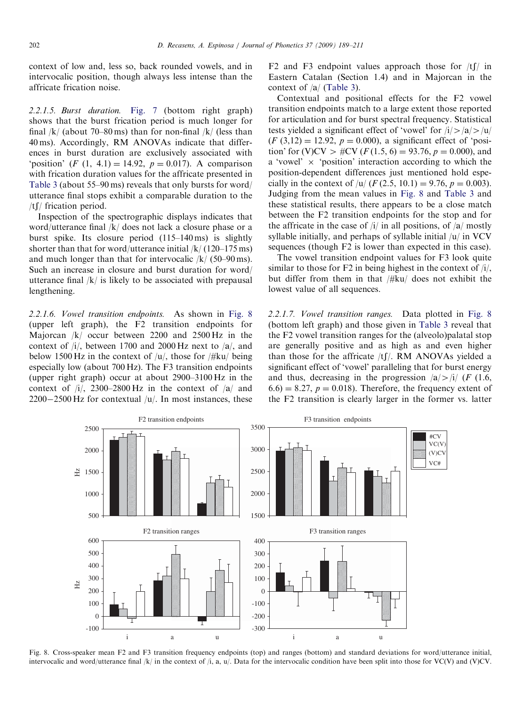<span id="page-13-0"></span>context of low and, less so, back rounded vowels, and in intervocalic position, though always less intense than the affricate frication noise.

2.2.1.5. Burst duration. [Fig. 7](#page-12-0) (bottom right graph) shows that the burst frication period is much longer for final  $/k/$  (about 70–80 ms) than for non-final  $/k/$  (less than 40 ms). Accordingly, RM ANOVAs indicate that differences in burst duration are exclusively associated with 'position' (F (1, 4.1) = 14.92,  $p = 0.017$ ). A comparison with frication duration values for the affricate presented in [Table 3](#page-12-0) (about 55–90 ms) reveals that only bursts for word/ utterance final stops exhibit a comparable duration to the /t $\int$  frication period.

Inspection of the spectrographic displays indicates that word/utterance final /k/ does not lack a closure phase or a burst spike. Its closure period (115–140 ms) is slightly shorter than that for word/utterance initial /k/ (120–175 ms) and much longer than that for intervocalic  $\frac{k}{(50-90 \text{ ms})}$ . Such an increase in closure and burst duration for word/ utterance final  $/k/$  is likely to be associated with prepausal lengthening.

2.2.1.6. Vowel transition endpoints. As shown in Fig. 8 (upper left graph), the F2 transition endpoints for Majorcan /k/ occur between 2200 and 2500 Hz in the context of  $\frac{1}{l}$ , between 1700 and 2000 Hz next to  $\frac{1}{a}$ , and below 1500 Hz in the context of  $/u/$ , those for  $/\#ku/$  being especially low (about 700 Hz). The F3 transition endpoints (upper right graph) occur at about 2900–3100 Hz in the context of  $\frac{1}{7}$ , 2300–2800 Hz in the context of  $\frac{1}{4}$  and  $2200-2500$  Hz for contextual  $/u/$ . In most instances, these

F2 and F3 endpoint values approach those for  $/t \int$  in Eastern Catalan (Section 1.4) and in Majorcan in the context of  $\left|a\right|$  ([Table 3](#page-12-0)).

Contextual and positional effects for the F2 vowel transition endpoints match to a large extent those reported for articulation and for burst spectral frequency. Statistical tests yielded a significant effect of 'vowel' for  $|i\rangle > |a| > |u|$  $(F (3,12) = 12.92, p = 0.000),$  a significant effect of 'position' for (V)CV >  $\#CV$  (F(1.5, 6) = 93.76, p = 0.000), and a 'vowel'  $\times$  'position' interaction according to which the position-dependent differences just mentioned hold especially in the context of /u/ ( $F$  (2.5, 10.1) = 9.76,  $p = 0.003$ ). Judging from the mean values in Fig. 8 and [Table 3](#page-12-0) and these statistical results, there appears to be a close match between the F2 transition endpoints for the stop and for the affricate in the case of  $\frac{1}{i}$  in all positions, of  $\frac{1}{a}$  mostly syllable initially, and perhaps of syllable initial  $/u/$  in VCV sequences (though F2 is lower than expected in this case).

The vowel transition endpoint values for F3 look quite similar to those for  $F2$  in being highest in the context of  $\pi/$ , but differ from them in that /#ku/ does not exhibit the lowest value of all sequences.

2.2.1.7. Vowel transition ranges. Data plotted in Fig. 8 (bottom left graph) and those given in [Table 3](#page-12-0) reveal that the F2 vowel transition ranges for the (alveolo)palatal stop are generally positive and as high as and even higher than those for the affricate  $/t$   $\beta$ . RM ANOVAs yielded a significant effect of 'vowel' paralleling that for burst energy and thus, decreasing in the progression  $|a|>/i$  (F (1.6,  $(6.6) = 8.27$ ,  $p = 0.018$ . Therefore, the frequency extent of the F2 transition is clearly larger in the former vs. latter



Fig. 8. Cross-speaker mean F2 and F3 transition frequency endpoints (top) and ranges (bottom) and standard deviations for word/utterance initial, intervocalic and word/utterance final /k/ in the context of /i, a, u/. Data for the intervocalic condition have been split into those for VC(V) and (V)CV.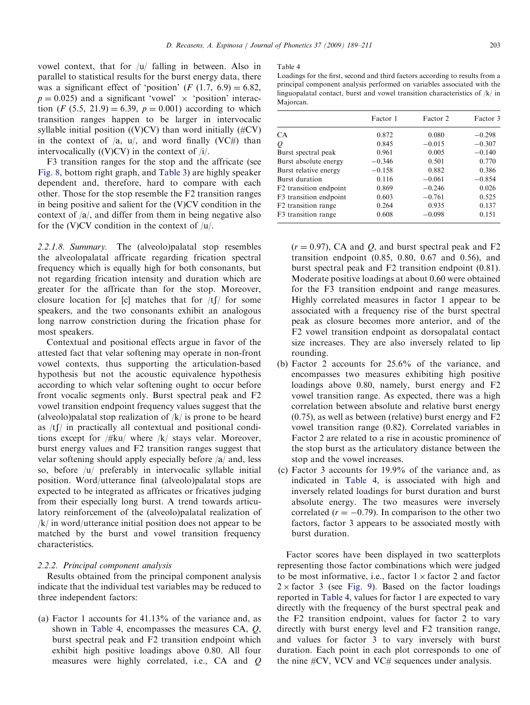vowel context, that for /u/ falling in between. Also in parallel to statistical results for the burst energy data, there was a significant effect of 'position'  $(F (1.7, 6.9) = 6.82,$  $p = 0.025$ ) and a significant 'vowel'  $\times$  'position' interaction (*F* (5.5, 21.9) = 6.39,  $p = 0.001$ ) according to which transition ranges happen to be larger in intervocalic syllable initial position ((V)CV) than word initially  $(\#CV)$ in the context of  $\alpha$ ,  $u/$ , and word finally (VC#) than intervocalically  $((V)CV)$  in the context of  $/i$ .

F3 transition ranges for the stop and the affricate (see [Fig. 8](#page-13-0), bottom right graph, and [Table 3](#page-12-0)) are highly speaker dependent and, therefore, hard to compare with each other. Those for the stop resemble the F2 transition ranges in being positive and salient for the (V)CV condition in the context of  $\alpha/$ , and differ from them in being negative also for the (V)CV condition in the context of  $/u$ .

2.2.1.8. Summary. The (alveolo)palatal stop resembles the alveolopalatal affricate regarding frication spectral frequency which is equally high for both consonants, but not regarding frication intensity and duration which are greater for the affricate than for the stop. Moreover, closure location for [c] matches that for  $/tf/$  for some speakers, and the two consonants exhibit an analogous long narrow constriction during the frication phase for most speakers.

Contextual and positional effects argue in favor of the attested fact that velar softening may operate in non-front vowel contexts, thus supporting the articulation-based hypothesis but not the acoustic equivalence hypothesis according to which velar softening ought to occur before front vocalic segments only. Burst spectral peak and F2 vowel transition endpoint frequency values suggest that the (alveolo)palatal stop realization of  $/k/$  is prone to be heard as  $/tf/$  in practically all contextual and positional conditions except for /#ku/ where /k/ stays velar. Moreover, burst energy values and F2 transition ranges suggest that velar softening should apply especially before  $|a|$  and, less so, before /u/ preferably in intervocalic syllable initial position. Word/utterance final (alveolo)palatal stops are expected to be integrated as affricates or fricatives judging from their especially long burst. A trend towards articulatory reinforcement of the (alveolo)palatal realization of /k/ in word/utterance initial position does not appear to be matched by the burst and vowel transition frequency characteristics.

# 2.2.2. Principal component analysis

Results obtained from the principal component analysis indicate that the individual test variables may be reduced to three independent factors:

(a) Factor 1 accounts for 41.13% of the variance and, as shown in Table 4, encompasses the measures CA, Q, burst spectral peak and F2 transition endpoint which exhibit high positive loadings above 0.80. All four measures were highly correlated, i.e., CA and Q

#### Table 4

|                                    | Factor 1 | Factor 2 | Factor 3 |
|------------------------------------|----------|----------|----------|
| CA                                 | 0.872    | 0.080    | $-0.298$ |
| Q                                  | 0.845    | $-0.015$ | $-0.307$ |
| Burst spectral peak                | 0.961    | 0.005    | $-0.140$ |
| Burst absolute energy              | $-0.346$ | 0.501    | 0.770    |
| Burst relative energy              | $-0.158$ | 0.882    | 0.386    |
| Burst duration                     | 0.116    | $-0.061$ | $-0.854$ |
| F <sub>2</sub> transition endpoint | 0.869    | $-0.246$ | 0.026    |
| F3 transition endpoint             | 0.603    | $-0.761$ | 0.525    |
| F2 transition range                | 0.264    | 0.935    | 0.137    |
| F <sub>3</sub> transition range    | 0.608    | $-0.098$ | 0.151    |

 $(r = 0.97)$ , CA and O, and burst spectral peak and F2 transition endpoint (0.85, 0.80, 0.67 and 0.56), and burst spectral peak and F2 transition endpoint (0.81). Moderate positive loadings at about 0.60 were obtained for the F3 transition endpoint and range measures. Highly correlated measures in factor 1 appear to be associated with a frequency rise of the burst spectral peak as closure becomes more anterior, and of the F2 vowel transition endpoint as dorsopalatal contact size increases. They are also inversely related to lip rounding.

- (b) Factor 2 accounts for 25.6% of the variance, and encompasses two measures exhibiting high positive loadings above 0.80, namely, burst energy and F2 vowel transition range. As expected, there was a high correlation between absolute and relative burst energy (0.75), as well as between (relative) burst energy and F2 vowel transition range (0.82). Correlated variables in Factor 2 are related to a rise in acoustic prominence of the stop burst as the articulatory distance between the stop and the vowel increases.
- (c) Factor 3 accounts for 19.9% of the variance and, as indicated in Table 4, is associated with high and inversely related loadings for burst duration and burst absolute energy. The two measures were inversely correlated  $(r = -0.79)$ . In comparison to the other two factors, factor 3 appears to be associated mostly with burst duration.

Factor scores have been displayed in two scatterplots representing those factor combinations which were judged to be most informative, i.e., factor  $1 \times$  factor 2 and factor  $2 \times$  factor 3 (see [Fig. 9](#page-15-0)). Based on the factor loadings reported in Table 4, values for factor 1 are expected to vary directly with the frequency of the burst spectral peak and the F2 transition endpoint, values for factor 2 to vary directly with burst energy level and F2 transition range, and values for factor 3 to vary inversely with burst duration. Each point in each plot corresponds to one of the nine #CV, VCV and VC# sequences under analysis.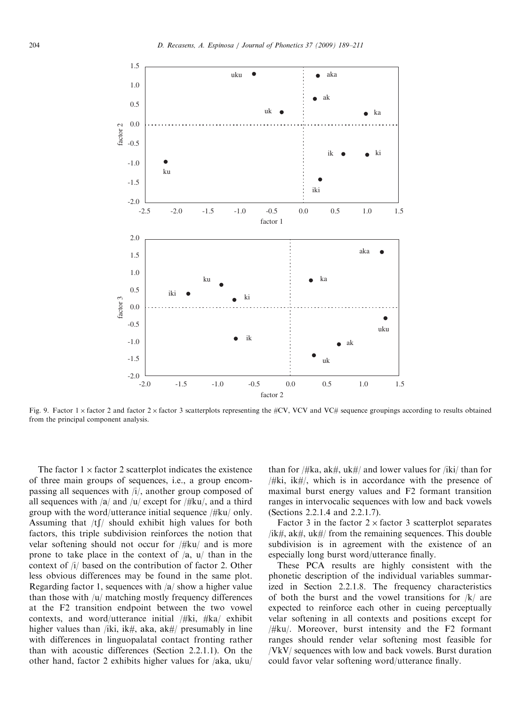<span id="page-15-0"></span>

Fig. 9. Factor 1 x factor 2 and factor 2 x factor 3 scatterplots representing the #CV, VCV and VC# sequence groupings according to results obtained from the principal component analysis.

The factor  $1 \times$  factor 2 scatterplot indicates the existence of three main groups of sequences, i.e., a group encompassing all sequences with /i/, another group composed of all sequences with  $\frac{a}{\text{a}}$  and  $\frac{u}{\text{c}}$  except for  $\frac{H}{\text{c}}$ , and a third group with the word/utterance initial sequence /#ku/ only. Assuming that  $/tf/$  should exhibit high values for both factors, this triple subdivision reinforces the notion that velar softening should not occur for /#ku/ and is more prone to take place in the context of  $\langle a, u \rangle$  than in the context of /i/ based on the contribution of factor 2. Other less obvious differences may be found in the same plot. Regarding factor 1, sequences with  $\frac{a}{\text{sin} \theta}$  show a higher value than those with  $|u|$  matching mostly frequency differences at the F2 transition endpoint between the two vowel contexts, and word/utterance initial /#ki, #ka/ exhibit higher values than /iki, ik#, aka, ak#/ presumably in line with differences in linguopalatal contact fronting rather than with acoustic differences (Section 2.2.1.1). On the other hand, factor 2 exhibits higher values for  $/aka$ , uku/

than for  $/\#$ ka, ak $\#$ , uk $\#/$  and lower values for  $/$ iki/ than for /#ki, ik#/, which is in accordance with the presence of maximal burst energy values and F2 formant transition ranges in intervocalic sequences with low and back vowels (Sections 2.2.1.4 and 2.2.1.7).

Factor 3 in the factor  $2 \times$  factor 3 scatterplot separates /ik#, ak#, uk#/ from the remaining sequences. This double subdivision is in agreement with the existence of an especially long burst word/utterance finally.

These PCA results are highly consistent with the phonetic description of the individual variables summarized in Section 2.2.1.8. The frequency characteristics of both the burst and the vowel transitions for  $/k/$  are expected to reinforce each other in cueing perceptually velar softening in all contexts and positions except for  $/\#ku$ . Moreover, burst intensity and the F2 formant ranges should render velar softening most feasible for /VkV/ sequences with low and back vowels. Burst duration could favor velar softening word/utterance finally.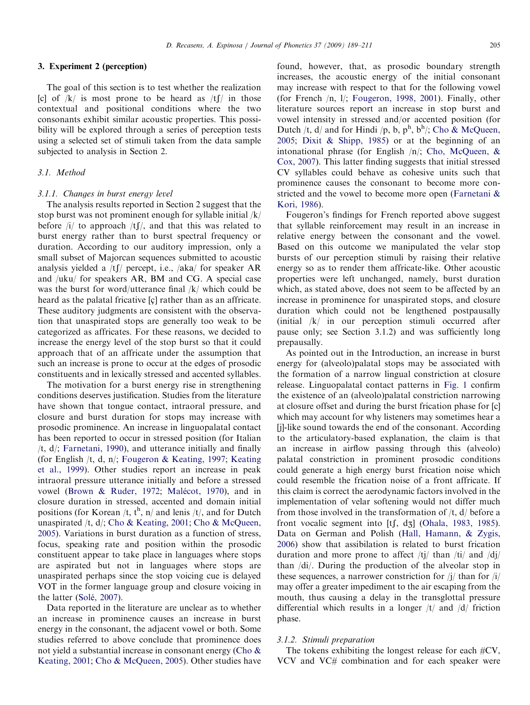# 3. Experiment 2 (perception)

The goal of this section is to test whether the realization [c] of  $/k$  is most prone to be heard as  $/tf/$  in those contextual and positional conditions where the two consonants exhibit similar acoustic properties. This possibility will be explored through a series of perception tests using a selected set of stimuli taken from the data sample subjected to analysis in Section 2.

# 3.1. Method

### 3.1.1. Changes in burst energy level

The analysis results reported in Section 2 suggest that the stop burst was not prominent enough for syllable initial /k/ before  $\frac{1}{l}$  to approach  $\frac{1}{l}$ , and that this was related to burst energy rather than to burst spectral frequency or duration. According to our auditory impression, only a small subset of Majorcan sequences submitted to acoustic analysis yielded a  $/t$  percept, i.e.,  $/ak$ a $/$  for speaker AR and /uku/ for speakers AR, BM and CG. A special case was the burst for word/utterance final /k/ which could be heard as the palatal fricative  $[c]$  rather than as an affricate. These auditory judgments are consistent with the observation that unaspirated stops are generally too weak to be categorized as affricates. For these reasons, we decided to increase the energy level of the stop burst so that it could approach that of an affricate under the assumption that such an increase is prone to occur at the edges of prosodic constituents and in lexically stressed and accented syllables.

The motivation for a burst energy rise in strengthening conditions deserves justification. Studies from the literature have shown that tongue contact, intraoral pressure, and closure and burst duration for stops may increase with prosodic prominence. An increase in linguopalatal contact has been reported to occur in stressed position (for Italian /t, d/; [Farnetani, 1990\)](#page-21-0), and utterance initially and finally (for English /t, d, n/; [Fougeron](#page-21-0) & [Keating, 1997](#page-21-0); [Keating](#page-21-0) [et al., 1999\)](#page-21-0). Other studies report an increase in peak intraoral pressure utterance initially and before a stressed vowel [\(Brown & Ruder, 1972;](#page-20-0) Malé[cot, 1970\)](#page-21-0), and in closure duration in stressed, accented and domain initial positions (for Korean /t,  $t^h$ , n/ and lenis /t/, and for Dutch unaspirated /t, d/; [Cho & Keating, 2001](#page-21-0); [Cho & McQueen,](#page-21-0) [2005](#page-21-0)). Variations in burst duration as a function of stress, focus, speaking rate and position within the prosodic constituent appear to take place in languages where stops are aspirated but not in languages where stops are unaspirated perhaps since the stop voicing cue is delayed VOT in the former language group and closure voicing in the latter (Solé[, 2007](#page-22-0)).

Data reported in the literature are unclear as to whether an increase in prominence causes an increase in burst energy in the consonant, the adjacent vowel or both. Some studies referred to above conclude that prominence does not yield a substantial increase in consonant energy [\(Cho &](#page-21-0) [Keating, 2001;](#page-21-0) [Cho](#page-21-0) & [McQueen, 2005\)](#page-21-0). Other studies have found, however, that, as prosodic boundary strength increases, the acoustic energy of the initial consonant may increase with respect to that for the following vowel (for French /n, l/; [Fougeron, 1998, 2001](#page-21-0)). Finally, other literature sources report an increase in stop burst and vowel intensity in stressed and/or accented position (for Dutch /t,  $d/$  and for Hindi /p, b,  $p^h$ ,  $b^h/$ ; [Cho & McQueen,](#page-21-0) [2005](#page-21-0); [Dixit](#page-21-0) & [Shipp, 1985\)](#page-21-0) or at the beginning of an intonational phrase (for English  $/n/$ ; [Cho, McQueen, &](#page-21-0) [Cox, 2007\)](#page-21-0). This latter finding suggests that initial stressed CV syllables could behave as cohesive units such that prominence causes the consonant to become more constricted and the vowel to become more open ([Farnetani &](#page-21-0) [Kori, 1986\)](#page-21-0).

Fougeron's findings for French reported above suggest that syllable reinforcement may result in an increase in relative energy between the consonant and the vowel. Based on this outcome we manipulated the velar stop bursts of our perception stimuli by raising their relative energy so as to render them affricate-like. Other acoustic properties were left unchanged, namely, burst duration which, as stated above, does not seem to be affected by an increase in prominence for unaspirated stops, and closure duration which could not be lengthened postpausally (initial /k/ in our perception stimuli occurred after pause only; see Section 3.1.2) and was sufficiently long prepausally.

As pointed out in the Introduction, an increase in burst energy for (alveolo)palatal stops may be associated with the formation of a narrow lingual constriction at closure release. Linguopalatal contact patterns in [Fig. 1](#page-6-0) confirm the existence of an (alveolo)palatal constriction narrowing at closure offset and during the burst frication phase for [c] which may account for why listeners may sometimes hear a [j]-like sound towards the end of the consonant. According to the articulatory-based explanation, the claim is that an increase in airflow passing through this (alveolo) palatal constriction in prominent prosodic conditions could generate a high energy burst frication noise which could resemble the frication noise of a front affricate. If this claim is correct the aerodynamic factors involved in the implementation of velar softening would not differ much from those involved in the transformation of /t, d/ before a front vocalic segment into [tf, dz] ([Ohala, 1983, 1985\)](#page-22-0). Data on German and Polish ([Hall, Hamann, & Zygis,](#page-21-0) [2006](#page-21-0)) show that assibilation is related to burst frication duration and more prone to affect  $/tj/t$  than  $/ti/t$  and  $/dj/t$ than /di/. During the production of the alveolar stop in these sequences, a narrower constriction for /j/ than for /i/ may offer a greater impediment to the air escaping from the mouth, thus causing a delay in the transglottal pressure differential which results in a longer /t/ and /d/ friction phase.

### 3.1.2. Stimuli preparation

The tokens exhibiting the longest release for each  $\#CV$ , VCV and VC# combination and for each speaker were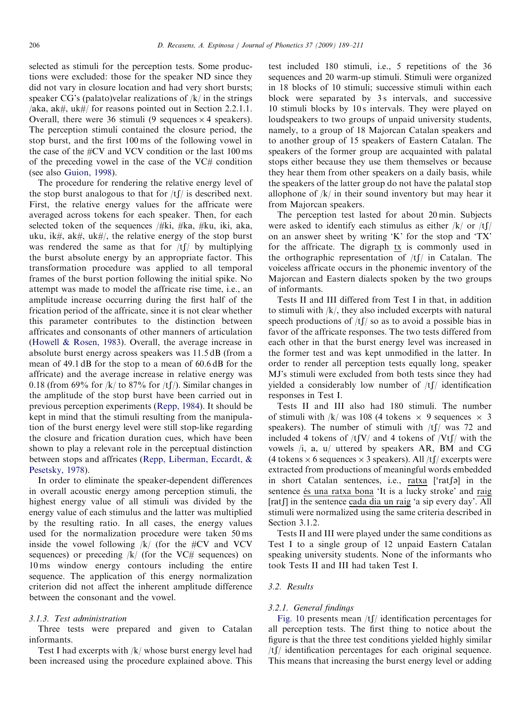selected as stimuli for the perception tests. Some productions were excluded: those for the speaker ND since they did not vary in closure location and had very short bursts; speaker  $CG$ 's (palato)velar realizations of  $/k/$  in the strings /aka, ak#, uk#/ for reasons pointed out in Section 2.2.1.1. Overall, there were 36 stimuli (9 sequences  $\times$  4 speakers). The perception stimuli contained the closure period, the stop burst, and the first 100 ms of the following vowel in the case of the #CV and VCV condition or the last 100 ms of the preceding vowel in the case of the VC# condition (see also [Guion, 1998\)](#page-21-0).

The procedure for rendering the relative energy level of the stop burst analogous to that for  $/t\int f$  is described next. First, the relative energy values for the affricate were averaged across tokens for each speaker. Then, for each selected token of the sequences  $/\#$ ki,  $\#$ ka,  $\#$ ku, iki, aka, uku, ik#, ak#, uk#/, the relative energy of the stop burst was rendered the same as that for  $/tf/$  by multiplying the burst absolute energy by an appropriate factor. This transformation procedure was applied to all temporal frames of the burst portion following the initial spike. No attempt was made to model the affricate rise time, i.e., an amplitude increase occurring during the first half of the frication period of the affricate, since it is not clear whether this parameter contributes to the distinction between affricates and consonants of other manners of articulation [\(Howell & Rosen, 1983\)](#page-21-0). Overall, the average increase in absolute burst energy across speakers was 11.5 dB (from a mean of 49.1 dB for the stop to a mean of 60.6 dB for the affricate) and the average increase in relative energy was 0.18 (from 69% for  $|k|$  to 87% for  $|t|$ ). Similar changes in the amplitude of the stop burst have been carried out in previous perception experiments [\(Repp, 1984](#page-22-0)). It should be kept in mind that the stimuli resulting from the manipulation of the burst energy level were still stop-like regarding the closure and frication duration cues, which have been shown to play a relevant role in the perceptual distinction between stops and affricates [\(Repp, Liberman, Eccardt,](#page-22-0) & [Pesetsky, 1978\)](#page-22-0).

In order to eliminate the speaker-dependent differences in overall acoustic energy among perception stimuli, the highest energy value of all stimuli was divided by the energy value of each stimulus and the latter was multiplied by the resulting ratio. In all cases, the energy values used for the normalization procedure were taken 50 ms inside the vowel following  $/k/$  (for the #CV and VCV sequences) or preceding  $|k|$  (for the VC# sequences) on 10 ms window energy contours including the entire sequence. The application of this energy normalization criterion did not affect the inherent amplitude difference between the consonant and the vowel.

# 3.1.3. Test administration

Three tests were prepared and given to Catalan informants.

Test I had excerpts with /k/ whose burst energy level had been increased using the procedure explained above. This test included 180 stimuli, i.e., 5 repetitions of the 36 sequences and 20 warm-up stimuli. Stimuli were organized in 18 blocks of 10 stimuli; successive stimuli within each block were separated by 3s intervals, and successive 10 stimuli blocks by 10 s intervals. They were played on loudspeakers to two groups of unpaid university students, namely, to a group of 18 Majorcan Catalan speakers and to another group of 15 speakers of Eastern Catalan. The speakers of the former group are acquainted with palatal stops either because they use them themselves or because they hear them from other speakers on a daily basis, while the speakers of the latter group do not have the palatal stop allophone of  $/k/$  in their sound inventory but may hear it from Majorcan speakers.

The perception test lasted for about 20 min. Subjects were asked to identify each stimulus as either  $/k/$  or  $/t\int$ on an answer sheet by writing 'K' for the stop and 'TX' for the affricate. The digraph tx is commonly used in the orthographic representation of  $/tf/d$  in Catalan. The voiceless affricate occurs in the phonemic inventory of the Majorcan and Eastern dialects spoken by the two groups of informants.

Tests II and III differed from Test I in that, in addition to stimuli with /k/, they also included excerpts with natural speech productions of  $/t \int$  so as to avoid a possible bias in favor of the affricate responses. The two tests differed from each other in that the burst energy level was increased in the former test and was kept unmodified in the latter. In order to render all perception tests equally long, speaker MJ's stimuli were excluded from both tests since they had yielded a considerably low number of  $/tf/d$  identification responses in Test I.

Tests II and III also had 180 stimuli. The number of stimuli with /k/ was 108 (4 tokens  $\times$  9 sequences  $\times$  3 speakers). The number of stimuli with  $/tf/d$  was 72 and included 4 tokens of  $/t\sqrt{V}$  and 4 tokens of  $/Vt\sqrt{V}$  with the vowels  $\langle i, a, u \rangle$  uttered by speakers AR, BM and CG (4 tokens  $\times$  6 sequences  $\times$  3 speakers). All /tf/ excerpts were extracted from productions of meaningful words embedded extracted from productions of meaninguli words embedded<br>in short Catalan sentences, i.e.,  $_{\text{ratxa}}$  ['rat $\lceil \circ \rceil$  in the sentence és una ratxa bona 'It is a lucky stroke' and raig [rat]] in the sentence cada dia un raig 'a sip every day'. All stimuli were normalized using the same criteria described in Section 3.1.2.

Tests II and III were played under the same conditions as Test I to a single group of 12 unpaid Eastern Catalan speaking university students. None of the informants who took Tests II and III had taken Test I.

### 3.2. Results

## 3.2.1. General findings

[Fig. 10](#page-18-0) presents mean  $/tf/d$  identification percentages for all perception tests. The first thing to notice about the figure is that the three test conditions yielded highly similar  $/t$  identification percentages for each original sequence. This means that increasing the burst energy level or adding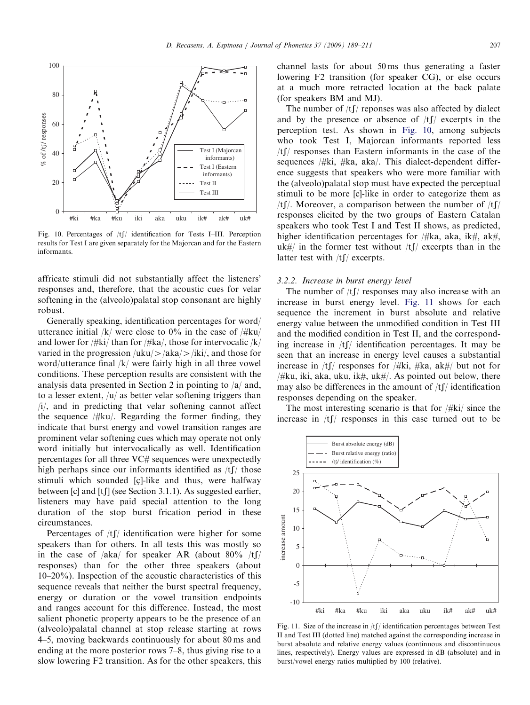<span id="page-18-0"></span>

Fig. 10. Percentages of  $/tf/d$  identification for Tests I–III. Perception results for Test I are given separately for the Majorcan and for the Eastern informants.

affricate stimuli did not substantially affect the listeners' responses and, therefore, that the acoustic cues for velar softening in the (alveolo)palatal stop consonant are highly robust.

Generally speaking, identification percentages for word/ utterance initial  $/k$  were close to 0% in the case of  $/\#ku$ and lower for /#ki/ than for /#ka/, those for intervocalic  $/k/$ varied in the progression  $\langle \text{uku}/\rangle$  aka $\langle \text{iki}/\rangle$ , and those for word/utterance final /k/ were fairly high in all three vowel conditions. These perception results are consistent with the analysis data presented in Section 2 in pointing to  $|a|$  and, to a lesser extent,  $|u|$  as better velar softening triggers than /i/, and in predicting that velar softening cannot affect the sequence  $/\# \text{ku}/$ . Regarding the former finding, they indicate that burst energy and vowel transition ranges are prominent velar softening cues which may operate not only word initially but intervocalically as well. Identification percentages for all three VC# sequences were unexpectedly high perhaps since our informants identified as  $/t\int$  those stimuli which sounded [c]-like and thus, were halfway between  $[c]$  and  $[t]$  (see Section 3.1.1). As suggested earlier, listeners may have paid special attention to the long duration of the stop burst frication period in these circumstances.

Percentages of  $/tf/d$  identification were higher for some speakers than for others. In all tests this was mostly so in the case of /aka/ for speaker AR (about 80% /tf/ responses) than for the other three speakers (about 10–20%). Inspection of the acoustic characteristics of this sequence reveals that neither the burst spectral frequency, energy or duration or the vowel transition endpoints and ranges account for this difference. Instead, the most salient phonetic property appears to be the presence of an (alveolo)palatal channel at stop release starting at rows 4–5, moving backwards continuously for about 80 ms and ending at the more posterior rows 7–8, thus giving rise to a slow lowering F2 transition. As for the other speakers, this channel lasts for about 50 ms thus generating a faster lowering F2 transition (for speaker CG), or else occurs at a much more retracted location at the back palate (for speakers BM and MJ).

The number of  $/tf$  reponses was also affected by dialect and by the presence or absence of  $/tf$  excerpts in the perception test. As shown in Fig. 10, among subjects who took Test I, Majorcan informants reported less  $/t$ [/ responses than Eastern informants in the case of the sequences  $/\#$ ki,  $\#$ ka, aka $/$ . This dialect-dependent difference suggests that speakers who were more familiar with the (alveolo)palatal stop must have expected the perceptual stimuli to be more [c]-like in order to categorize them as /tf/. Moreover, a comparison between the number of  $/tf$ responses elicited by the two groups of Eastern Catalan speakers who took Test I and Test II shows, as predicted, higher identification percentages for  $/\#$ ka, aka, ik $\#$ , ak $\#$ , uk#/ in the former test without  $/tf/$  excerpts than in the latter test with  $/t\int$  excerpts.

# 3.2.2. Increase in burst energy level

The number of  $/tf$  responses may also increase with an increase in burst energy level. Fig. 11 shows for each sequence the increment in burst absolute and relative energy value between the unmodified condition in Test III and the modified condition in Test II, and the corresponding increase in  $/tf/d$  identification percentages. It may be seen that an increase in energy level causes a substantial increase in /tf/ responses for /#ki, #ka, ak#/ but not for  $/\#$ ku, iki, aka, uku, ik $\#$ , uk $\#/$ . As pointed out below, there may also be differences in the amount of  $/t\int$  identification responses depending on the speaker.

The most interesting scenario is that for /#ki/ since the increase in  $/tf$  responses in this case turned out to be



Fig. 11. Size of the increase in  $/tf/d$  identification percentages between Test II and Test III (dotted line) matched against the corresponding increase in burst absolute and relative energy values (continuous and discontinuous lines, respectively). Energy values are expressed in dB (absolute) and in burst/vowel energy ratios multiplied by 100 (relative).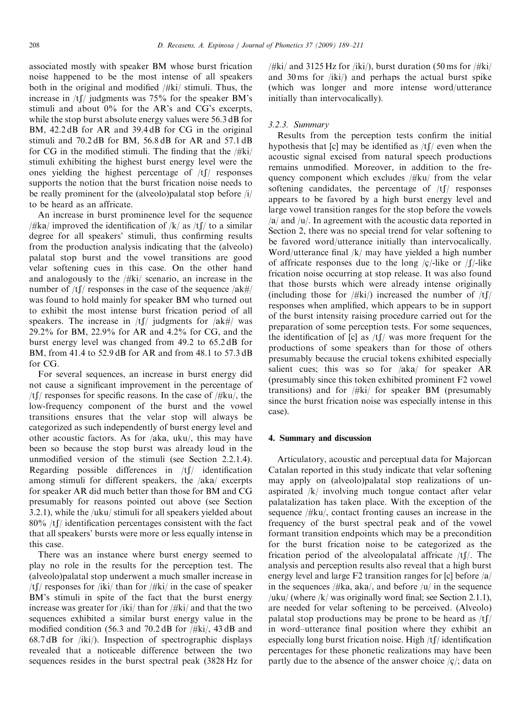associated mostly with speaker BM whose burst frication noise happened to be the most intense of all speakers both in the original and modified /#ki/ stimuli. Thus, the increase in  $/t$  [/ judgments was 75% for the speaker BM's stimuli and about 0% for the AR's and CG's excerpts, while the stop burst absolute energy values were 56.3 dB for BM, 42.2 dB for AR and 39.4 dB for CG in the original stimuli and 70.2 dB for BM, 56.8 dB for AR and 57.1 dB for CG in the modified stimuli. The finding that the  $/\frac{d}{dx}$ stimuli exhibiting the highest burst energy level were the ones yielding the highest percentage of  $/tf$  responses supports the notion that the burst frication noise needs to be really prominent for the (alveolo)palatal stop before /i/ to be heard as an affricate.

An increase in burst prominence level for the sequence /#ka/ improved the identification of /k/ as /tf/ to a similar degree for all speakers' stimuli, thus confirming results from the production analysis indicating that the (alveolo) palatal stop burst and the vowel transitions are good velar softening cues in this case. On the other hand and analogously to the /#ki/ scenario, an increase in the number of  $/t \int$  responses in the case of the sequence  $/ak \#/$ was found to hold mainly for speaker BM who turned out to exhibit the most intense burst frication period of all speakers. The increase in  $/t\int$  judgments for  $\int a\frac{dt}{t}$  was 29.2% for BM, 22.9% for AR and 4.2% for CG, and the burst energy level was changed from 49.2 to 65.2 dB for BM, from 41.4 to 52.9 dB for AR and from 48.1 to 57.3 dB for CG.

For several sequences, an increase in burst energy did not cause a significant improvement in the percentage of /tf/ responses for specific reasons. In the case of  $/\# \text{ku}$ , the low-frequency component of the burst and the vowel transitions ensures that the velar stop will always be categorized as such independently of burst energy level and other acoustic factors. As for /aka, uku/, this may have been so because the stop burst was already loud in the unmodified version of the stimuli (see Section 2.2.1.4). Regarding possible differences in  $/tf$  identification among stimuli for different speakers, the  $/aka/$  excerpts for speaker AR did much better than those for BM and CG presumably for reasons pointed out above (see Section 3.2.1), while the /uku/ stimuli for all speakers yielded about  $80\%$  /tf/ identification percentages consistent with the fact that all speakers' bursts were more or less equally intense in this case.

There was an instance where burst energy seemed to play no role in the results for the perception test. The (alveolo)palatal stop underwent a much smaller increase in /tf/ responses for /iki/ than for /#ki/ in the case of speaker BM's stimuli in spite of the fact that the burst energy increase was greater for /iki/ than for /#ki/ and that the two sequences exhibited a similar burst energy value in the modified condition (56.3 and 70.2 dB for /#ki/, 43 dB and 68.7 dB for /iki/). Inspection of spectrographic displays revealed that a noticeable difference between the two sequences resides in the burst spectral peak (3828 Hz for  $/\#$ ki/ and 3125 Hz for  $\frac{\hbar k}{\hbar}$ , burst duration (50 ms for  $/\#$ ki/ and 30 ms for /iki/) and perhaps the actual burst spike (which was longer and more intense word/utterance initially than intervocalically).

# 3.2.3. Summary

Results from the perception tests confirm the initial hypothesis that [c] may be identified as  $/t$ [/ even when the acoustic signal excised from natural speech productions remains unmodified. Moreover, in addition to the frequency component which excludes /#ku/ from the velar softening candidates, the percentage of  $/tf$  responses appears to be favored by a high burst energy level and large vowel transition ranges for the stop before the vowels  $\alpha$  and  $\alpha$ . In agreement with the acoustic data reported in Section 2, there was no special trend for velar softening to be favored word/utterance initially than intervocalically. Word/utterance final /k/ may have yielded a high number of affricate responses due to the long  $\frac{c}{-1}$  like or  $\frac{f}{-1}$  like frication noise occurring at stop release. It was also found that those bursts which were already intense originally (including those for  $/\#$ ki $/$ ) increased the number of  $/t$ responses when amplified, which appears to be in support of the burst intensity raising procedure carried out for the preparation of some perception tests. For some sequences, the identification of [c] as  $/t$ [ $\prime$ ] was more frequent for the productions of some speakers than for those of others presumably because the crucial tokens exhibited especially salient cues; this was so for  $/aka/$  for speaker AR (presumably since this token exhibited prominent F2 vowel transitions) and for /#ki/ for speaker BM (presumably since the burst frication noise was especially intense in this case).

# 4. Summary and discussion

Articulatory, acoustic and perceptual data for Majorcan Catalan reported in this study indicate that velar softening may apply on (alveolo)palatal stop realizations of unaspirated /k/ involving much tongue contact after velar palatalization has taken place. With the exception of the sequence /#ku/, contact fronting causes an increase in the frequency of the burst spectral peak and of the vowel formant transition endpoints which may be a precondition for the burst frication noise to be categorized as the frication period of the alveolopalatal affricate  $/tf$ . The analysis and perception results also reveal that a high burst energy level and large  $F2$  transition ranges for [c] before  $\frac{a}{a}$ in the sequences /#ka, aka/, and before /u/ in the sequence /uku/ (where  $/k$ / was originally word final; see Section 2.1.1), are needed for velar softening to be perceived. (Alveolo) palatal stop productions may be prone to be heard as  $/tf$ in word–utterance final position where they exhibit an especially long burst frication noise. High  $/tf/d$  identification percentages for these phonetic realizations may have been partly due to the absence of the answer choice  $\langle c \rangle$ ; data on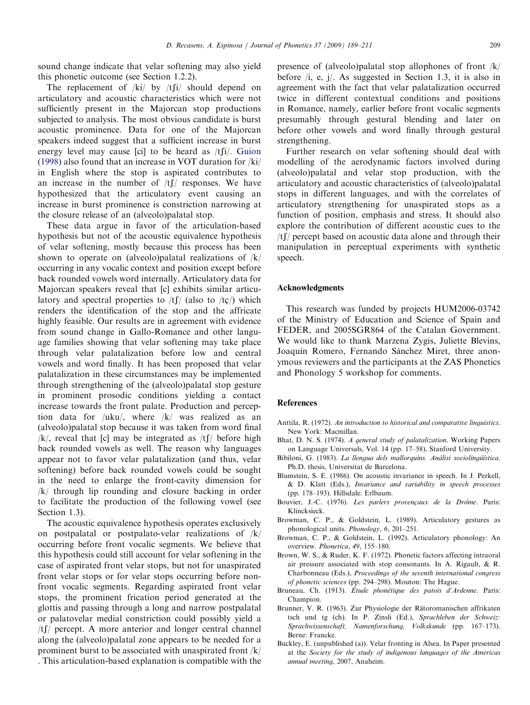<span id="page-20-0"></span>sound change indicate that velar softening may also yield this phonetic outcome (see Section 1.2.2).

The replacement of  $/ki/$  by  $/tfi/$  should depend on articulatory and acoustic characteristics which were not sufficiently present in the Majorcan stop productions subjected to analysis. The most obvious candidate is burst acoustic prominence. Data for one of the Majorcan speakers indeed suggest that a sufficient increase in burst energy level may cause [ci] to be heard as  $/t[i]$ . [Guion](#page-21-0) [\(1998\)](#page-21-0) also found that an increase in VOT duration for /ki/ in English where the stop is aspirated contributes to an increase in the number of  $/tf$  responses. We have hypothesized that the articulatory event causing an increase in burst prominence is constriction narrowing at the closure release of an (alveolo)palatal stop.

These data argue in favor of the articulation-based hypothesis but not of the acoustic equivalence hypothesis of velar softening, mostly because this process has been shown to operate on (alveolo)palatal realizations of  $/k/$ occurring in any vocalic context and position except before back rounded vowels word internally. Articulatory data for Majorcan speakers reveal that [c] exhibits similar articulatory and spectral properties to  $/t$  (also to  $/t$ ) which renders the identification of the stop and the affricate highly feasible. Our results are in agreement with evidence from sound change in Gallo-Romance and other language families showing that velar softening may take place through velar palatalization before low and central vowels and word finally. It has been proposed that velar palatalization in these circumstances may be implemented through strengthening of the (alveolo)palatal stop gesture in prominent prosodic conditions yielding a contact increase towards the front palate. Production and perception data for /uku/, where /k/ was realized as an (alveolo)palatal stop because it was taken from word final /k/, reveal that [c] may be integrated as  $/t \int$  before high back rounded vowels as well. The reason why languages appear not to favor velar palatalization (and thus, velar softening) before back rounded vowels could be sought in the need to enlarge the front-cavity dimension for /k/ through lip rounding and closure backing in order to facilitate the production of the following vowel (see Section 1.3).

The acoustic equivalence hypothesis operates exclusively on postpalatal or postpalato-velar realizations of /k/ occurring before front vocalic segments. We believe that this hypothesis could still account for velar softening in the case of aspirated front velar stops, but not for unaspirated front velar stops or for velar stops occurring before nonfront vocalic segments. Regarding aspirated front velar stops, the prominent frication period generated at the glottis and passing through a long and narrow postpalatal or palatovelar medial constriction could possibly yield a  $/t$ [/ percept. A more anterior and longer central channel along the (alveolo)palatal zone appears to be needed for a prominent burst to be associated with unaspirated front /k/ . This articulation-based explanation is compatible with the presence of (alveolo)palatal stop allophones of front /k/ before /i, e, j/. As suggested in Section 1.3, it is also in agreement with the fact that velar palatalization occurred twice in different contextual conditions and positions in Romance, namely, earlier before front vocalic segments presumably through gestural blending and later on before other vowels and word finally through gestural strengthening.

Further research on velar softening should deal with modelling of the aerodynamic factors involved during (alveolo)palatal and velar stop production, with the articulatory and acoustic characteristics of (alveolo)palatal stops in different languages, and with the correlates of articulatory strengthening for unaspirated stops as a function of position, emphasis and stress. It should also explore the contribution of different acoustic cues to the  $/tf/$  percept based on acoustic data alone and through their manipulation in perceptual experiments with synthetic speech.

### Acknowledgments

This research was funded by projects HUM2006-03742 of the Ministry of Education and Science of Spain and FEDER, and 2005SGR864 of the Catalan Government. We would like to thank Marzena Zygis, Juliette Blevins, Joaquín Romero, Fernando Sánchez Miret, three anonymous reviewers and the participants at the ZAS Phonetics and Phonology 5 workshop for comments.

# References

- Anttila, R. (1972). An introduction to historical and comparative linguistics. New York: Macmillan.
- Bhat, D. N. S. (1974). A general study of palatalization. Working Papers on Language Universals, Vol. 14 (pp. 17–58), Stanford University.
- Bibiloni, G. (1983). La llengua dels mallorquins. Anàlisi sociolingüística. Ph.D. thesis, Universitat de Barcelona.
- Blumstein, S. E. (1986). On acoustic invariance in speech. In J. Perkell, & D. Klatt (Eds.), Invariance and variability in speech processes (pp. 178–193). Hillsdale: Erlbaum.
- Bouvier, J.-C. (1976). Les parlers provençaux de la Drôme. Paris: Klincksieck.
- Browman, C. P., & Goldstein, L. (1989). Articulatory gestures as phonological units. Phonology, 6, 201–251.
- Browman, C. P., & Goldstein, L. (1992). Articulatory phonology: An overview. Phonetica, 49, 155–180.
- Brown, W. S., & Ruder, K. F. (1972). Phonetic factors affecting intraoral air pressure associated with stop consonants. In A. Rigault, & R. Charbonneau (Eds.), Proceedings of the seventh international congress of phonetic sciences (pp. 294–298). Mouton: The Hague.
- Bruneau, Ch. (1913). Étude phonétique des patois d'Ardenne. Paris: Champion.
- Brunner, V. R. (1963). Zur Physiologie der Rätoromanischen affrikaten tsch und tg (ch). In P. Zinsli (Ed.), Sprachleben der Schweiz: Sprachwissenschaft, Namenforschung, Volkskunde (pp. 167–173). Berne: Francke.
- Buckley, E. (unpublished (a)). Velar fronting in Alsea. In Paper presented at the Society for the study of indigenous languages of the Americas annual meeting, 2007, Anaheim.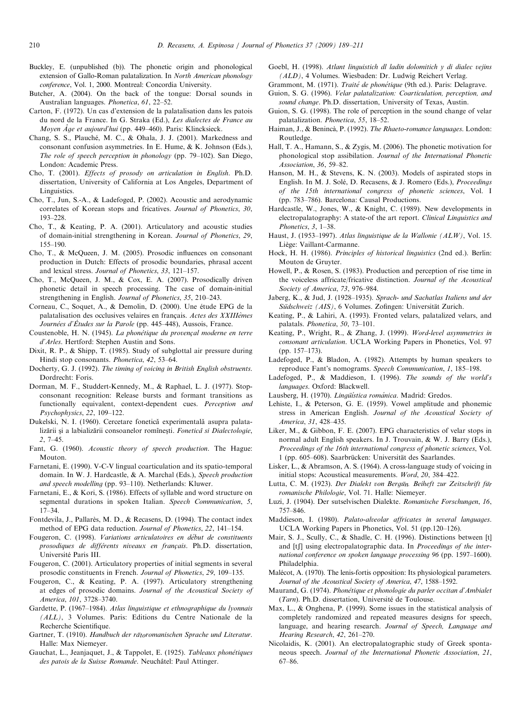- <span id="page-21-0"></span>Buckley, E. (unpublished (b)). The phonetic origin and phonological extension of Gallo-Roman palatalization. In North American phonology conference, Vol. 1, 2000. Montreal: Concordia University.
- Butcher, A. (2004). On the back of the tongue: Dorsal sounds in Australian languages. Phonetica, 61, 22–52.
- Carton, F. (1972). Un cas d'extension de la palatalisation dans les patois du nord de la France. In G. Straka (Ed.), Les dialectes de France au Moyen  $\hat{A}$ ge et aujourd'hui (pp. 449–460). Paris: Klincksieck.
- Chang, S. S., Plauché, M. C., & Ohala, J. J. (2001). Markedness and consonant confusion asymmetries. In E. Hume, & K. Johnson (Eds.), The role of speech perception in phonology (pp. 79–102). San Diego, London: Academic Press.
- Cho, T. (2001). Effects of prosody on articulation in English. Ph.D. dissertation, University of California at Los Angeles, Department of Linguistics.
- Cho, T., Jun, S.-A., & Ladefoged, P. (2002). Acoustic and aerodynamic correlates of Korean stops and fricatives. Journal of Phonetics, 30, 193–228.
- Cho, T., & Keating, P. A. (2001). Articulatory and acoustic studies of domain-initial strengthening in Korean. Journal of Phonetics, 29, 155–190.
- Cho, T., & McQueen, J. M. (2005). Prosodic influences on consonant production in Dutch: Effects of prosodic boundaries, phrasal accent and lexical stress. Journal of Phonetics, 33, 121–157.
- Cho, T., McQueen, J. M., & Cox, E. A. (2007). Prosodically driven phonetic detail in speech processing. The case of domain-initial strengthening in English. Journal of Phonetics, 35, 210–243.
- Corneau, C., Soquet, A., & Demolin, D. (2000). Une étude EPG de la palatalisation des occlusives velaires en français. Actes des XXIIIèmes Journées d'Études sur la Parole (pp. 445–448), Aussois, France.
- Coustenoble, H. N. (1945). La phonétique du provençal moderne en terre d'Arles. Hertford: Stephen Austin and Sons.
- Dixit, R. P., & Shipp, T. (1985). Study of subglottal air pressure during Hindi stop consonants. Phonetica, 42, 53–64.
- Docherty, G. J. (1992). The timing of voicing in British English obstruents. Dordrecht: Foris.
- Dorman, M. F., Studdert-Kennedy, M., & Raphael, L. J. (1977). Stopconsonant recognition: Release bursts and formant transitions as functionally equivalent, context-dependent cues. Perception and Psychophysics, 22, 109–122.
- Dukelski, N. I. (1960). Cercetare fonetică experimentală asupra palatalizării și a labializării consoanelor romînești. Fonetică si Dialectologie, 2, 7–45.
- Fant, G. (1960). Acoustic theory of speech production. The Hague: Mouton.
- Farnetani, E. (1990). V-C-V lingual coarticulation and its spatio-temporal domain. In W. J. Hardcastle, & A. Marchal (Eds.), Speech production and speech modelling (pp. 93–110). Netherlands: Kluwer.
- Farnetani, E., & Kori, S. (1986). Effects of syllable and word structure on segmental durations in spoken Italian. Speech Communication, 5, 17–34.
- Fontdevila, J., Pallarès, M. D., & Recasens, D. (1994). The contact index method of EPG data reduction. Journal of Phonetics, 22, 141–154.
- Fougeron, C. (1998). Variations articulatoires en début de constituents prosodiques de différents niveaux en français. Ph.D. dissertation, Universite´ Paris III.
- Fougeron, C. (2001). Articulatory properties of initial segments in several prosodic constituents in French. Journal of Phonetics, 29, 109–135.
- Fougeron, C., & Keating, P. A. (1997). Articulatory strengthening at edges of prosodic domains. Journal of the Acoustical Society of America, 101, 3728–3740.
- Gardette, P. (1967–1984). Atlas linguistique et ethnographique du lyonnais (ALL), 3 Volumes. Paris: Editions du Centre Nationale de la Recherche Scientifique.
- Gartner, T. (1910). Handbuch der rätoromanischen Sprache und Literatur. Halle: Max Niemeyer.
- Gauchat, L., Jeanjaquet, J., & Tappolet, E. (1925). Tableaux phonétiques des patois de la Suisse Romande. Neuchâtel: Paul Attinger.
- Goebl, H. (1998). Atlant linguistich dl ladin dolomitich y di dialec vejins (ALD), 4 Volumes. Wiesbaden: Dr. Ludwig Reichert Verlag.
- Grammont, M. (1971). Traité de phonétique (9th ed.). Paris: Delagrave.
- Guion, S. G. (1996). Velar palatalization: Coarticulation, perception, and sound change. Ph.D. dissertation, University of Texas, Austin.
- Guion, S. G. (1998). The role of perception in the sound change of velar palatalization. Phonetica, 55, 18–52.
- Haiman, J., & Benincà, P. (1992). The Rhaeto-romance languages. London: Routledge.
- Hall, T. A., Hamann, S., & Zygis, M. (2006). The phonetic motivation for phonological stop assibilation. Journal of the International Phonetic Association, 36, 59–82.
- Hanson, M. H., & Stevens, K. N. (2003). Models of aspirated stops in English. In M. J. Solé, D. Recasens, & J. Romero (Eds.), *Proceedings* of the 15th international congress of phonetic sciences, Vol. I (pp. 783–786). Barcelona: Causal Productions.
- Hardcastle, W., Jones, W., & Knight, C. (1989). New developments in electropalatography: A state-of the art report. Clinical Linguistics and Phonetics, 3, 1–38.
- Haust, J. (1953–1997). Atlas linguistique de la Wallonie (ALW), Vol. 15. Liège: Vaillant-Carmanne.
- Hock, H. H. (1986). Principles of historical linguistics (2nd ed.). Berlin: Mouton de Gruyter.
- Howell, P., & Rosen, S. (1983). Production and perception of rise time in the voiceless affricate/fricative distinction. Journal of the Acoustical Society of America, 73, 976–984.
- Jaberg, K., & Jud, J. (1928–1935). Sprach- und Sachatlas Italiens und der Südschweiz (AIS), 6 Volumes. Zofingen: Universität Zurich.
- Keating, P., & Lahiri, A. (1993). Fronted velars, palatalized velars, and palatals. Phonetica, 50, 73–101.
- Keating, P., Wright, R., & Zhang, J. (1999). Word-level asymmetries in consonant articulation. UCLA Working Papers in Phonetics, Vol. 97 (pp. 157–173).
- Ladefoged, P., & Bladon, A. (1982). Attempts by human speakers to reproduce Fant's nomograms. Speech Communication, 1, 185–198.
- Ladefoged, P., & Maddieson, I. (1996). The sounds of the world's languages. Oxford: Blackwell.
- Lausberg, H. (1970). Lingüística románica. Madrid: Gredos.
- Lehiste, I., & Peterson, G. E. (1959). Vowel amplitude and phonemic stress in American English. Journal of the Acoustical Society of America, 31, 428–435.
- Liker, M., & Gibbon, F. E. (2007). EPG characteristics of velar stops in normal adult English speakers. In J. Trouvain, & W. J. Barry (Eds.), Proceedings of the 16th international congress of phonetic sciences, Vol. 1 (pp. 605–608). Saarbrücken: Universität des Saarlandes.
- Lisker, L., & Abramson, A. S. (1964). A cross-language study of voicing in initial stops: Acoustical measurements. Word, 20, 384–422.
- Lutta, C. M. (1923). Der Dialekt von Bergün. Beiheft zur Zeitschrift für romanische Philologie, Vol. 71. Halle: Niemeyer.
- Luzi, J. (1904). Der sutselvischen Dialekte. Romanische Forschungen, 16, 757–846.
- Maddieson, I. (1980). Palato-alveolar affricates in several languages. UCLA Working Papers in Phonetics, Vol. 51 (pp.120–126).
- Mair, S. J., Scully, C., & Shadle, C. H. (1996). Distinctions between [t] and  $[t]$  using electropalatographic data. In Proceedings of the international conference on spoken language processing 96 (pp. 1597–1600). Philadelphia.
- Malécot, A. (1970). The lenis-fortis opposition: Its physiological parameters. Journal of the Acoustical Society of America, 47, 1588–1592.
- Maurand, G. (1974). Phonétique et phonologie du parler occitan d'Ambialet  $(Tarn)$ . Ph.D. dissertation, Université de Toulouse.
- Max, L., & Onghena, P. (1999). Some issues in the statistical analysis of completely randomized and repeated measures designs for speech, language, and hearing research. Journal of Speech, Language and Hearing Research, 42, 261–270.
- Nicolaidis, K. (2001). An electropalatographic study of Greek spontaneous speech. Journal of the International Phonetic Association, 21, 67–86.